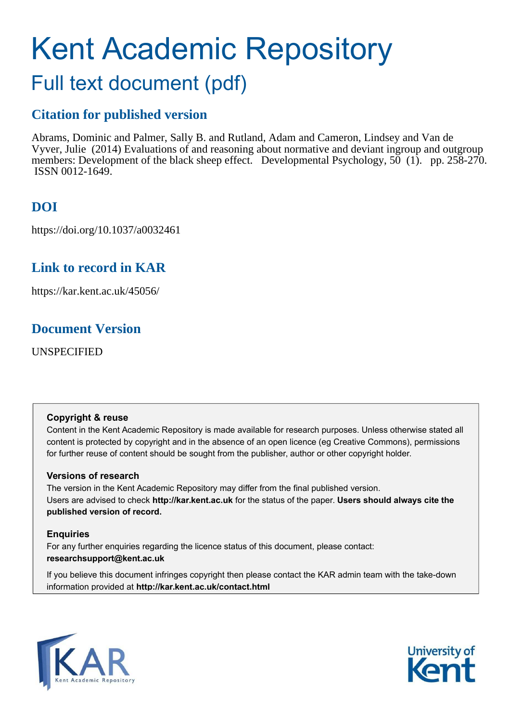# Kent Academic Repository

## Full text document (pdf)

## **Citation for published version**

Abrams, Dominic and Palmer, Sally B. and Rutland, Adam and Cameron, Lindsey and Van de Vyver, Julie (2014) Evaluations of and reasoning about normative and deviant ingroup and outgroup members: Development of the black sheep effect. Developmental Psychology, 50 (1). pp. 258-270. ISSN 0012-1649.

## **DOI**

https://doi.org/10.1037/a0032461

## **Link to record in KAR**

https://kar.kent.ac.uk/45056/

## **Document Version**

UNSPECIFIED

#### **Copyright & reuse**

Content in the Kent Academic Repository is made available for research purposes. Unless otherwise stated all content is protected by copyright and in the absence of an open licence (eg Creative Commons), permissions for further reuse of content should be sought from the publisher, author or other copyright holder.

#### **Versions of research**

The version in the Kent Academic Repository may differ from the final published version. Users are advised to check **http://kar.kent.ac.uk** for the status of the paper. **Users should always cite the published version of record.**

#### **Enquiries**

For any further enquiries regarding the licence status of this document, please contact: **researchsupport@kent.ac.uk**

If you believe this document infringes copyright then please contact the KAR admin team with the take-down information provided at **http://kar.kent.ac.uk/contact.html**



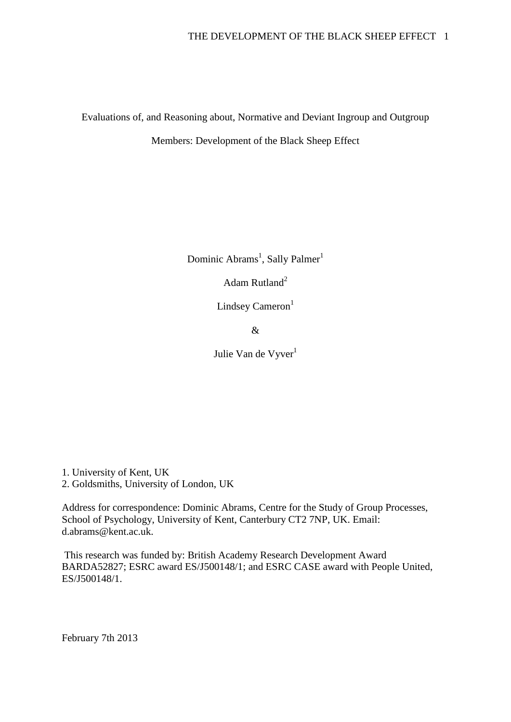Evaluations of, and Reasoning about, Normative and Deviant Ingroup and Outgroup

Members: Development of the Black Sheep Effect

Dominic Abrams<sup>1</sup>, Sally Palmer<sup>1</sup>

Adam Rutland<sup>2</sup>

Lindsey Cameron $<sup>1</sup>$ </sup>

&

Julie Van de Vyver<sup>1</sup>

1. University of Kent, UK 2. Goldsmiths, University of London, UK

Address for correspondence: Dominic Abrams, Centre for the Study of Group Processes, School of Psychology, University of Kent, Canterbury CT2 7NP, UK. Email: d.abrams@kent.ac.uk.

 This research was funded by: British Academy Research Development Award BARDA52827; ESRC award ES/J500148/1; and ESRC CASE award with People United, ES/J500148/1.

February 7th 2013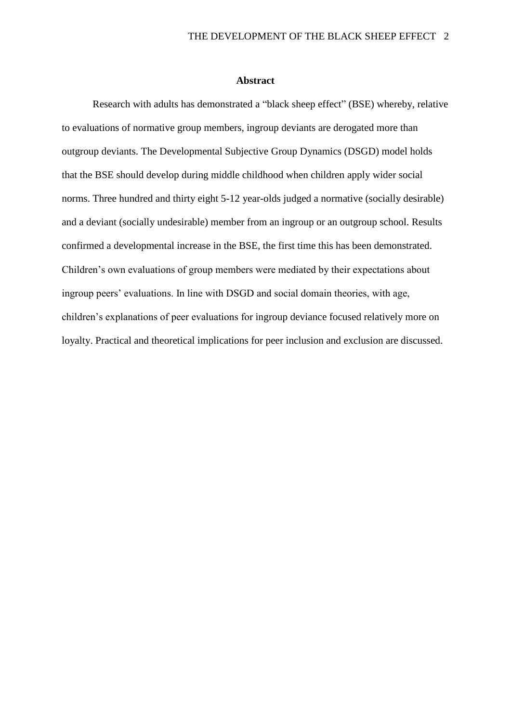#### **Abstract**

Research with adults has demonstrated a "black sheep effect" (BSE) whereby, relative to evaluations of normative group members, ingroup deviants are derogated more than outgroup deviants. The Developmental Subjective Group Dynamics (DSGD) model holds that the BSE should develop during middle childhood when children apply wider social norms. Three hundred and thirty eight 5-12 year-olds judged a normative (socially desirable) and a deviant (socially undesirable) member from an ingroup or an outgroup school. Results confirmed a developmental increase in the BSE, the first time this has been demonstrated. Children's own evaluations of group members were mediated by their expectations about ingroup peers' evaluations. In line with DSGD and social domain theories, with age, children's explanations of peer evaluations for ingroup deviance focused relatively more on loyalty. Practical and theoretical implications for peer inclusion and exclusion are discussed.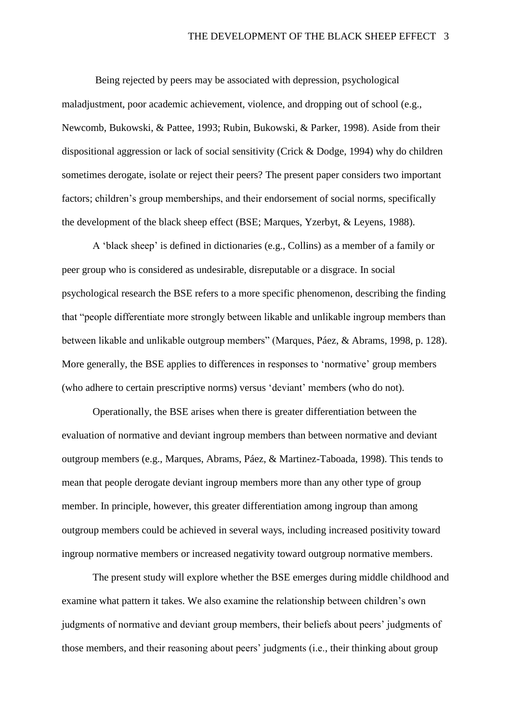Being rejected by peers may be associated with depression, psychological maladjustment, poor academic achievement, violence, and dropping out of school (e.g., Newcomb, Bukowski, & Pattee, 1993; Rubin, Bukowski, & Parker, 1998). Aside from their dispositional aggression or lack of social sensitivity (Crick & Dodge, 1994) why do children sometimes derogate, isolate or reject their peers? The present paper considers two important factors; children's group memberships, and their endorsement of social norms, specifically the development of the black sheep effect (BSE; Marques, Yzerbyt, & Leyens, 1988).

A 'black sheep' is defined in dictionaries (e.g., Collins) as a member of a family or peer group who is considered as undesirable, disreputable or a disgrace. In social psychological research the BSE refers to a more specific phenomenon, describing the finding that "people differentiate more strongly between likable and unlikable ingroup members than between likable and unlikable outgroup members" (Marques, Páez, & Abrams, 1998, p. 128). More generally, the BSE applies to differences in responses to 'normative' group members (who adhere to certain prescriptive norms) versus 'deviant' members (who do not).

Operationally, the BSE arises when there is greater differentiation between the evaluation of normative and deviant ingroup members than between normative and deviant outgroup members (e.g., Marques, Abrams, Páez, & Martinez-Taboada, 1998). This tends to mean that people derogate deviant ingroup members more than any other type of group member. In principle, however, this greater differentiation among ingroup than among outgroup members could be achieved in several ways, including increased positivity toward ingroup normative members or increased negativity toward outgroup normative members.

The present study will explore whether the BSE emerges during middle childhood and examine what pattern it takes. We also examine the relationship between children's own judgments of normative and deviant group members, their beliefs about peers' judgments of those members, and their reasoning about peers' judgments (i.e., their thinking about group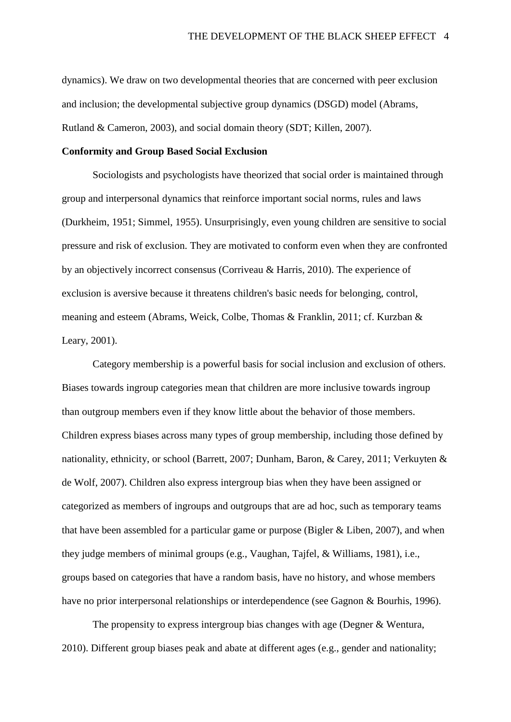dynamics). We draw on two developmental theories that are concerned with peer exclusion and inclusion; the developmental subjective group dynamics (DSGD) model (Abrams, Rutland & Cameron, 2003), and social domain theory (SDT; Killen, 2007).

#### **Conformity and Group Based Social Exclusion**

Sociologists and psychologists have theorized that social order is maintained through group and interpersonal dynamics that reinforce important social norms, rules and laws (Durkheim, 1951; Simmel, 1955). Unsurprisingly, even young children are sensitive to social pressure and risk of exclusion. They are motivated to conform even when they are confronted by an objectively incorrect consensus (Corriveau & Harris, 2010). The experience of exclusion is aversive because it threatens children's basic needs for belonging, control, meaning and esteem (Abrams, Weick, Colbe, Thomas & Franklin, 2011; cf. Kurzban & Leary, 2001).

Category membership is a powerful basis for social inclusion and exclusion of others. Biases towards ingroup categories mean that children are more inclusive towards ingroup than outgroup members even if they know little about the behavior of those members. Children express biases across many types of group membership, including those defined by nationality, ethnicity, or school (Barrett, 2007; Dunham, Baron, & Carey, 2011; Verkuyten & de Wolf, 2007). Children also express intergroup bias when they have been assigned or categorized as members of ingroups and outgroups that are ad hoc, such as temporary teams that have been assembled for a particular game or purpose (Bigler & Liben, 2007), and when they judge members of minimal groups (e.g., Vaughan, Tajfel, & Williams, 1981), i.e., groups based on categories that have a random basis, have no history, and whose members have no prior interpersonal relationships or interdependence (see Gagnon & Bourhis, 1996).

The propensity to express intergroup bias changes with age (Degner & Wentura, 2010). Different group biases peak and abate at different ages (e.g., gender and nationality;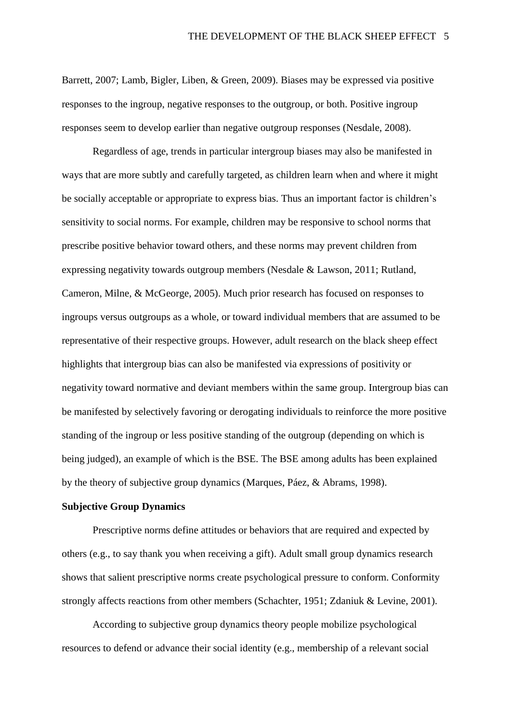Barrett, 2007; Lamb, Bigler, Liben, & Green, 2009). Biases may be expressed via positive responses to the ingroup, negative responses to the outgroup, or both. Positive ingroup responses seem to develop earlier than negative outgroup responses (Nesdale, 2008).

Regardless of age, trends in particular intergroup biases may also be manifested in ways that are more subtly and carefully targeted, as children learn when and where it might be socially acceptable or appropriate to express bias. Thus an important factor is children's sensitivity to social norms. For example, children may be responsive to school norms that prescribe positive behavior toward others, and these norms may prevent children from expressing negativity towards outgroup members (Nesdale & Lawson, 2011; Rutland, Cameron, Milne, & McGeorge, 2005). Much prior research has focused on responses to ingroups versus outgroups as a whole, or toward individual members that are assumed to be representative of their respective groups. However, adult research on the black sheep effect highlights that intergroup bias can also be manifested via expressions of positivity or negativity toward normative and deviant members within the same group. Intergroup bias can be manifested by selectively favoring or derogating individuals to reinforce the more positive standing of the ingroup or less positive standing of the outgroup (depending on which is being judged), an example of which is the BSE. The BSE among adults has been explained by the theory of subjective group dynamics (Marques, Páez, & Abrams, 1998).

#### **Subjective Group Dynamics**

 Prescriptive norms define attitudes or behaviors that are required and expected by others (e.g., to say thank you when receiving a gift). Adult small group dynamics research shows that salient prescriptive norms create psychological pressure to conform. Conformity strongly affects reactions from other members (Schachter, 1951; Zdaniuk & Levine, 2001).

 According to subjective group dynamics theory people mobilize psychological resources to defend or advance their social identity (e.g., membership of a relevant social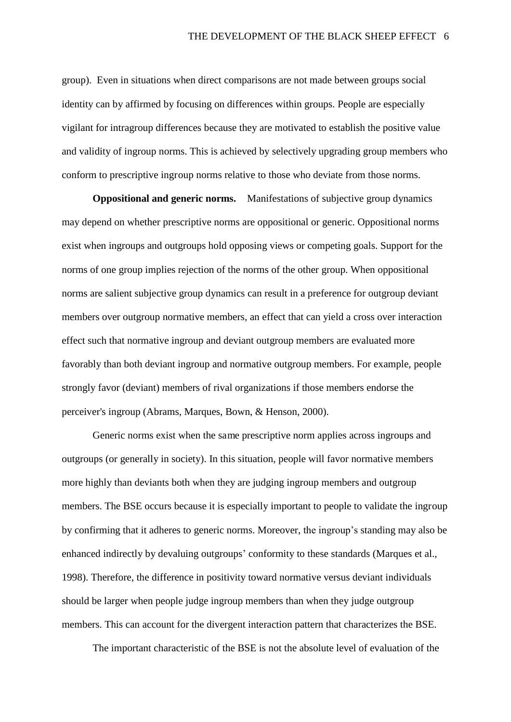group). Even in situations when direct comparisons are not made between groups social identity can by affirmed by focusing on differences within groups. People are especially vigilant for intragroup differences because they are motivated to establish the positive value and validity of ingroup norms. This is achieved by selectively upgrading group members who conform to prescriptive ingroup norms relative to those who deviate from those norms.

**Oppositional and generic norms.** Manifestations of subjective group dynamics may depend on whether prescriptive norms are oppositional or generic. Oppositional norms exist when ingroups and outgroups hold opposing views or competing goals. Support for the norms of one group implies rejection of the norms of the other group. When oppositional norms are salient subjective group dynamics can result in a preference for outgroup deviant members over outgroup normative members, an effect that can yield a cross over interaction effect such that normative ingroup and deviant outgroup members are evaluated more favorably than both deviant ingroup and normative outgroup members. For example, people strongly favor (deviant) members of rival organizations if those members endorse the perceiver's ingroup (Abrams, Marques, Bown, & Henson, 2000).

Generic norms exist when the same prescriptive norm applies across ingroups and outgroups (or generally in society). In this situation, people will favor normative members more highly than deviants both when they are judging ingroup members and outgroup members. The BSE occurs because it is especially important to people to validate the ingroup by confirming that it adheres to generic norms. Moreover, the ingroup's standing may also be enhanced indirectly by devaluing outgroups' conformity to these standards (Marques et al., 1998). Therefore, the difference in positivity toward normative versus deviant individuals should be larger when people judge ingroup members than when they judge outgroup members. This can account for the divergent interaction pattern that characterizes the BSE.

The important characteristic of the BSE is not the absolute level of evaluation of the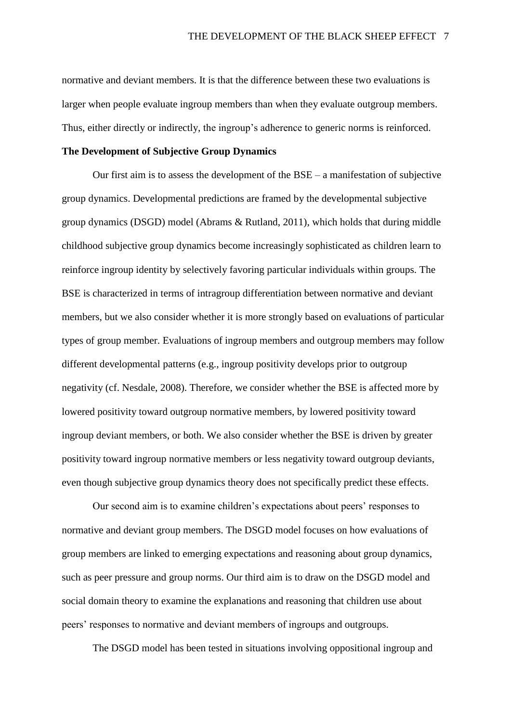normative and deviant members. It is that the difference between these two evaluations is larger when people evaluate ingroup members than when they evaluate outgroup members. Thus, either directly or indirectly, the ingroup's adherence to generic norms is reinforced.

#### **The Development of Subjective Group Dynamics**

Our first aim is to assess the development of the BSE – a manifestation of subjective group dynamics. Developmental predictions are framed by the developmental subjective group dynamics (DSGD) model (Abrams & Rutland, 2011), which holds that during middle childhood subjective group dynamics become increasingly sophisticated as children learn to reinforce ingroup identity by selectively favoring particular individuals within groups. The BSE is characterized in terms of intragroup differentiation between normative and deviant members, but we also consider whether it is more strongly based on evaluations of particular types of group member. Evaluations of ingroup members and outgroup members may follow different developmental patterns (e.g., ingroup positivity develops prior to outgroup negativity (cf. Nesdale, 2008). Therefore, we consider whether the BSE is affected more by lowered positivity toward outgroup normative members, by lowered positivity toward ingroup deviant members, or both. We also consider whether the BSE is driven by greater positivity toward ingroup normative members or less negativity toward outgroup deviants, even though subjective group dynamics theory does not specifically predict these effects.

Our second aim is to examine children's expectations about peers' responses to normative and deviant group members. The DSGD model focuses on how evaluations of group members are linked to emerging expectations and reasoning about group dynamics, such as peer pressure and group norms. Our third aim is to draw on the DSGD model and social domain theory to examine the explanations and reasoning that children use about peers' responses to normative and deviant members of ingroups and outgroups.

The DSGD model has been tested in situations involving oppositional ingroup and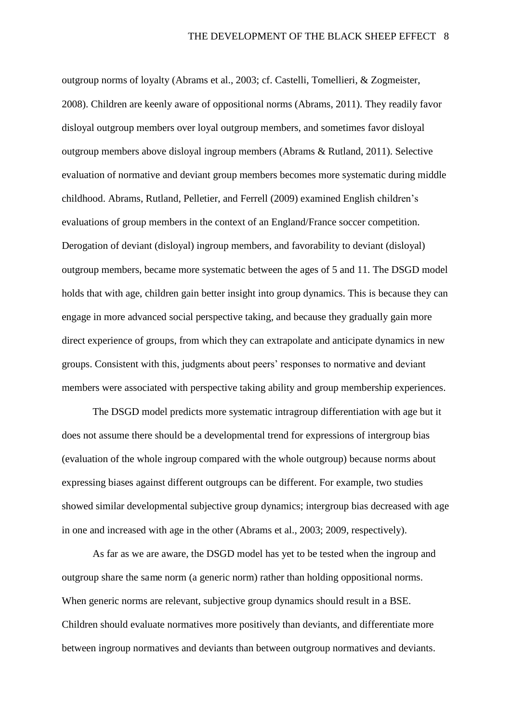outgroup norms of loyalty (Abrams et al., 2003; cf. Castelli, Tomellieri, & Zogmeister, 2008). Children are keenly aware of oppositional norms (Abrams, 2011). They readily favor disloyal outgroup members over loyal outgroup members, and sometimes favor disloyal outgroup members above disloyal ingroup members (Abrams & Rutland, 2011). Selective evaluation of normative and deviant group members becomes more systematic during middle childhood. Abrams, Rutland, Pelletier, and Ferrell (2009) examined English children's evaluations of group members in the context of an England/France soccer competition. Derogation of deviant (disloyal) ingroup members, and favorability to deviant (disloyal) outgroup members, became more systematic between the ages of 5 and 11. The DSGD model holds that with age, children gain better insight into group dynamics. This is because they can engage in more advanced social perspective taking, and because they gradually gain more direct experience of groups, from which they can extrapolate and anticipate dynamics in new groups. Consistent with this, judgments about peers' responses to normative and deviant members were associated with perspective taking ability and group membership experiences.

The DSGD model predicts more systematic intragroup differentiation with age but it does not assume there should be a developmental trend for expressions of intergroup bias (evaluation of the whole ingroup compared with the whole outgroup) because norms about expressing biases against different outgroups can be different. For example, two studies showed similar developmental subjective group dynamics; intergroup bias decreased with age in one and increased with age in the other (Abrams et al., 2003; 2009, respectively).

As far as we are aware, the DSGD model has yet to be tested when the ingroup and outgroup share the same norm (a generic norm) rather than holding oppositional norms. When generic norms are relevant, subjective group dynamics should result in a BSE. Children should evaluate normatives more positively than deviants, and differentiate more between ingroup normatives and deviants than between outgroup normatives and deviants.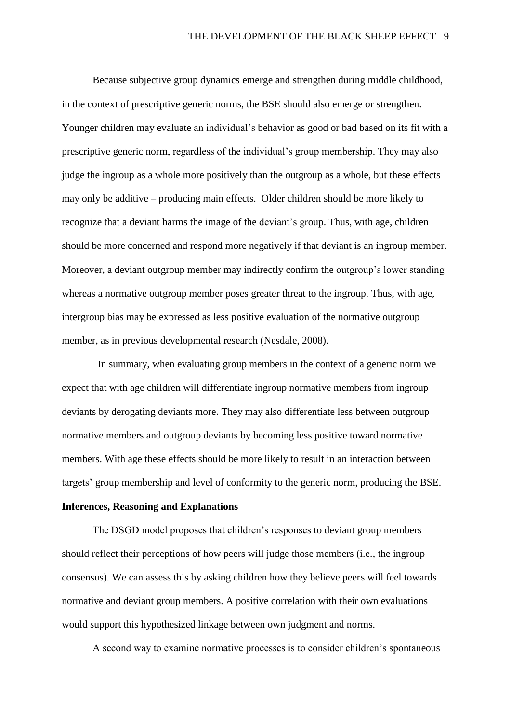Because subjective group dynamics emerge and strengthen during middle childhood, in the context of prescriptive generic norms, the BSE should also emerge or strengthen. Younger children may evaluate an individual's behavior as good or bad based on its fit with a prescriptive generic norm, regardless of the individual's group membership. They may also judge the ingroup as a whole more positively than the outgroup as a whole, but these effects may only be additive – producing main effects. Older children should be more likely to recognize that a deviant harms the image of the deviant's group. Thus, with age, children should be more concerned and respond more negatively if that deviant is an ingroup member. Moreover, a deviant outgroup member may indirectly confirm the outgroup's lower standing whereas a normative outgroup member poses greater threat to the ingroup. Thus, with age, intergroup bias may be expressed as less positive evaluation of the normative outgroup member, as in previous developmental research (Nesdale, 2008).

 In summary, when evaluating group members in the context of a generic norm we expect that with age children will differentiate ingroup normative members from ingroup deviants by derogating deviants more. They may also differentiate less between outgroup normative members and outgroup deviants by becoming less positive toward normative members. With age these effects should be more likely to result in an interaction between targets' group membership and level of conformity to the generic norm, producing the BSE.

#### **Inferences, Reasoning and Explanations**

The DSGD model proposes that children's responses to deviant group members should reflect their perceptions of how peers will judge those members (i.e., the ingroup consensus). We can assess this by asking children how they believe peers will feel towards normative and deviant group members. A positive correlation with their own evaluations would support this hypothesized linkage between own judgment and norms.

A second way to examine normative processes is to consider children's spontaneous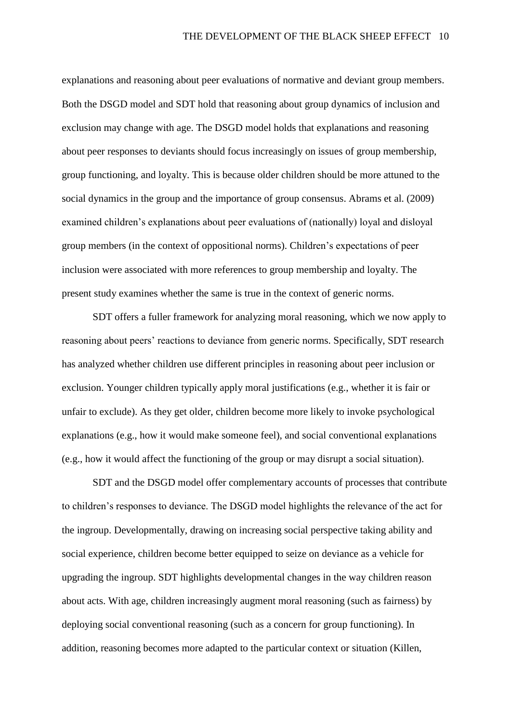explanations and reasoning about peer evaluations of normative and deviant group members. Both the DSGD model and SDT hold that reasoning about group dynamics of inclusion and exclusion may change with age. The DSGD model holds that explanations and reasoning about peer responses to deviants should focus increasingly on issues of group membership, group functioning, and loyalty. This is because older children should be more attuned to the social dynamics in the group and the importance of group consensus. Abrams et al. (2009) examined children's explanations about peer evaluations of (nationally) loyal and disloyal group members (in the context of oppositional norms). Children's expectations of peer inclusion were associated with more references to group membership and loyalty. The present study examines whether the same is true in the context of generic norms.

SDT offers a fuller framework for analyzing moral reasoning, which we now apply to reasoning about peers' reactions to deviance from generic norms. Specifically, SDT research has analyzed whether children use different principles in reasoning about peer inclusion or exclusion. Younger children typically apply moral justifications (e.g., whether it is fair or unfair to exclude). As they get older, children become more likely to invoke psychological explanations (e.g., how it would make someone feel), and social conventional explanations (e.g., how it would affect the functioning of the group or may disrupt a social situation).

SDT and the DSGD model offer complementary accounts of processes that contribute to children's responses to deviance. The DSGD model highlights the relevance of the act for the ingroup. Developmentally, drawing on increasing social perspective taking ability and social experience, children become better equipped to seize on deviance as a vehicle for upgrading the ingroup. SDT highlights developmental changes in the way children reason about acts. With age, children increasingly augment moral reasoning (such as fairness) by deploying social conventional reasoning (such as a concern for group functioning). In addition, reasoning becomes more adapted to the particular context or situation (Killen,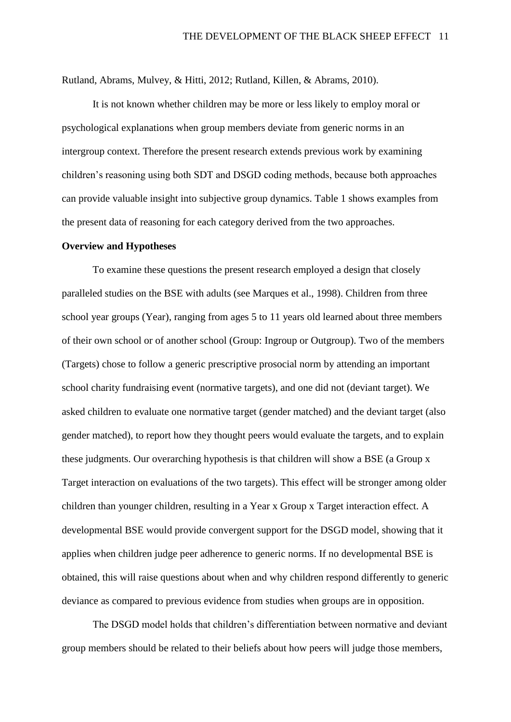Rutland, Abrams, Mulvey, & Hitti, 2012; Rutland, Killen, & Abrams, 2010).

It is not known whether children may be more or less likely to employ moral or psychological explanations when group members deviate from generic norms in an intergroup context. Therefore the present research extends previous work by examining children's reasoning using both SDT and DSGD coding methods, because both approaches can provide valuable insight into subjective group dynamics. Table 1 shows examples from the present data of reasoning for each category derived from the two approaches.

#### **Overview and Hypotheses**

To examine these questions the present research employed a design that closely paralleled studies on the BSE with adults (see Marques et al., 1998). Children from three school year groups (Year), ranging from ages 5 to 11 years old learned about three members of their own school or of another school (Group: Ingroup or Outgroup). Two of the members (Targets) chose to follow a generic prescriptive prosocial norm by attending an important school charity fundraising event (normative targets), and one did not (deviant target). We asked children to evaluate one normative target (gender matched) and the deviant target (also gender matched), to report how they thought peers would evaluate the targets, and to explain these judgments. Our overarching hypothesis is that children will show a BSE (a Group x Target interaction on evaluations of the two targets). This effect will be stronger among older children than younger children, resulting in a Year x Group x Target interaction effect. A developmental BSE would provide convergent support for the DSGD model, showing that it applies when children judge peer adherence to generic norms. If no developmental BSE is obtained, this will raise questions about when and why children respond differently to generic deviance as compared to previous evidence from studies when groups are in opposition.

The DSGD model holds that children's differentiation between normative and deviant group members should be related to their beliefs about how peers will judge those members,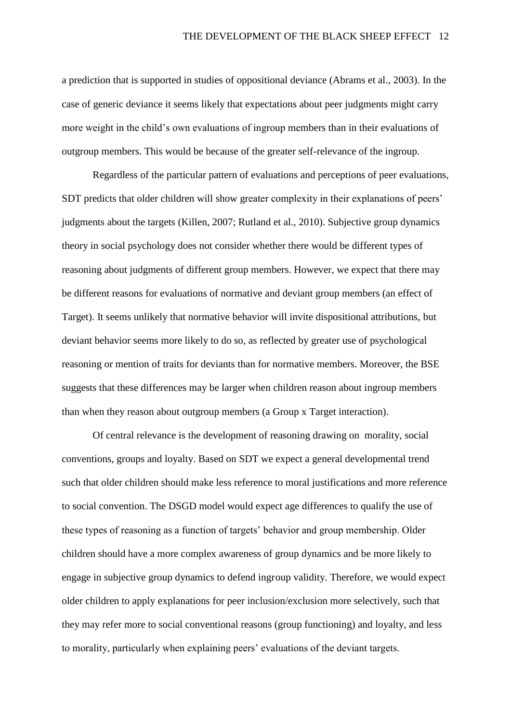a prediction that is supported in studies of oppositional deviance (Abrams et al., 2003). In the case of generic deviance it seems likely that expectations about peer judgments might carry more weight in the child's own evaluations of ingroup members than in their evaluations of outgroup members. This would be because of the greater self-relevance of the ingroup.

Regardless of the particular pattern of evaluations and perceptions of peer evaluations, SDT predicts that older children will show greater complexity in their explanations of peers' judgments about the targets (Killen, 2007; Rutland et al., 2010). Subjective group dynamics theory in social psychology does not consider whether there would be different types of reasoning about judgments of different group members. However, we expect that there may be different reasons for evaluations of normative and deviant group members (an effect of Target). It seems unlikely that normative behavior will invite dispositional attributions, but deviant behavior seems more likely to do so, as reflected by greater use of psychological reasoning or mention of traits for deviants than for normative members. Moreover, the BSE suggests that these differences may be larger when children reason about ingroup members than when they reason about outgroup members (a Group x Target interaction).

Of central relevance is the development of reasoning drawing on morality, social conventions, groups and loyalty. Based on SDT we expect a general developmental trend such that older children should make less reference to moral justifications and more reference to social convention. The DSGD model would expect age differences to qualify the use of these types of reasoning as a function of targets' behavior and group membership. Older children should have a more complex awareness of group dynamics and be more likely to engage in subjective group dynamics to defend ingroup validity. Therefore, we would expect older children to apply explanations for peer inclusion/exclusion more selectively, such that they may refer more to social conventional reasons (group functioning) and loyalty, and less to morality, particularly when explaining peers' evaluations of the deviant targets.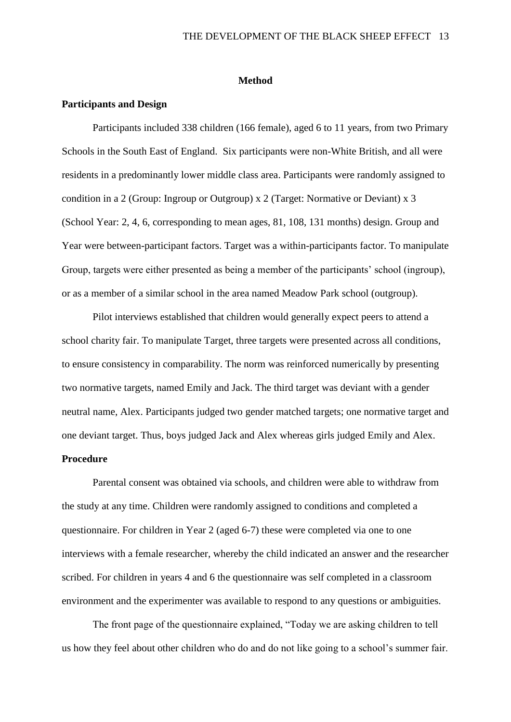#### **Method**

#### **Participants and Design**

Participants included 338 children (166 female), aged 6 to 11 years, from two Primary Schools in the South East of England. Six participants were non-White British, and all were residents in a predominantly lower middle class area. Participants were randomly assigned to condition in a 2 (Group: Ingroup or Outgroup) x 2 (Target: Normative or Deviant) x 3 (School Year: 2, 4, 6, corresponding to mean ages, 81, 108, 131 months) design. Group and Year were between-participant factors. Target was a within-participants factor. To manipulate Group, targets were either presented as being a member of the participants' school (ingroup), or as a member of a similar school in the area named Meadow Park school (outgroup).

Pilot interviews established that children would generally expect peers to attend a school charity fair. To manipulate Target, three targets were presented across all conditions, to ensure consistency in comparability. The norm was reinforced numerically by presenting two normative targets, named Emily and Jack. The third target was deviant with a gender neutral name, Alex. Participants judged two gender matched targets; one normative target and one deviant target. Thus, boys judged Jack and Alex whereas girls judged Emily and Alex.

#### **Procedure**

Parental consent was obtained via schools, and children were able to withdraw from the study at any time. Children were randomly assigned to conditions and completed a questionnaire. For children in Year 2 (aged 6-7) these were completed via one to one interviews with a female researcher, whereby the child indicated an answer and the researcher scribed. For children in years 4 and 6 the questionnaire was self completed in a classroom environment and the experimenter was available to respond to any questions or ambiguities.

The front page of the questionnaire explained, "Today we are asking children to tell us how they feel about other children who do and do not like going to a school's summer fair.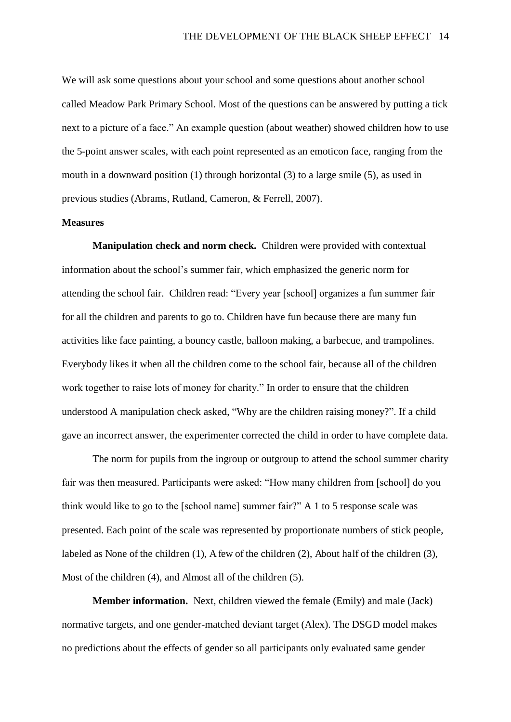We will ask some questions about your school and some questions about another school called Meadow Park Primary School. Most of the questions can be answered by putting a tick next to a picture of a face." An example question (about weather) showed children how to use the 5-point answer scales, with each point represented as an emoticon face, ranging from the mouth in a downward position (1) through horizontal (3) to a large smile (5), as used in previous studies (Abrams, Rutland, Cameron, & Ferrell, 2007).

#### **Measures**

**Manipulation check and norm check.** Children were provided with contextual information about the school's summer fair, which emphasized the generic norm for attending the school fair. Children read: "Every year [school] organizes a fun summer fair for all the children and parents to go to. Children have fun because there are many fun activities like face painting, a bouncy castle, balloon making, a barbecue, and trampolines. Everybody likes it when all the children come to the school fair, because all of the children work together to raise lots of money for charity." In order to ensure that the children understood A manipulation check asked, "Why are the children raising money?". If a child gave an incorrect answer, the experimenter corrected the child in order to have complete data.

The norm for pupils from the ingroup or outgroup to attend the school summer charity fair was then measured. Participants were asked: "How many children from [school] do you think would like to go to the [school name] summer fair?" A 1 to 5 response scale was presented. Each point of the scale was represented by proportionate numbers of stick people, labeled as None of the children (1), A few of the children (2), About half of the children (3), Most of the children (4), and Almost all of the children (5).

**Member information.** Next, children viewed the female (Emily) and male (Jack) normative targets, and one gender-matched deviant target (Alex). The DSGD model makes no predictions about the effects of gender so all participants only evaluated same gender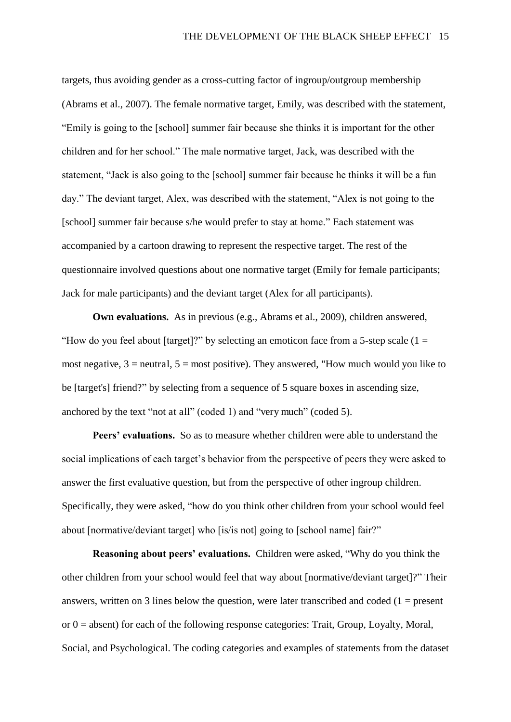targets, thus avoiding gender as a cross-cutting factor of ingroup/outgroup membership (Abrams et al., 2007). The female normative target, Emily, was described with the statement, "Emily is going to the [school] summer fair because she thinks it is important for the other children and for her school." The male normative target, Jack, was described with the statement, "Jack is also going to the [school] summer fair because he thinks it will be a fun day." The deviant target, Alex, was described with the statement, "Alex is not going to the [school] summer fair because s/he would prefer to stay at home." Each statement was accompanied by a cartoon drawing to represent the respective target. The rest of the questionnaire involved questions about one normative target (Emily for female participants; Jack for male participants) and the deviant target (Alex for all participants).

**Own evaluations.** As in previous (e.g., Abrams et al., 2009), children answered, "How do you feel about [target]?" by selecting an emoticon face from a 5-step scale  $(1 =$ most negative,  $3$  = neutral,  $5$  = most positive). They answered, "How much would you like to be [target's] friend?" by selecting from a sequence of 5 square boxes in ascending size, anchored by the text "not at all" (coded 1) and "very much" (coded 5).

**Peers' evaluations.** So as to measure whether children were able to understand the social implications of each target's behavior from the perspective of peers they were asked to answer the first evaluative question, but from the perspective of other ingroup children. Specifically, they were asked, "how do you think other children from your school would feel about [normative/deviant target] who [is/is not] going to [school name] fair?"

**Reasoning about peers' evaluations.** Children were asked, "Why do you think the other children from your school would feel that way about [normative/deviant target]?" Their answers, written on 3 lines below the question, were later transcribed and coded  $(1 = present$ or  $0 =$  absent) for each of the following response categories: Trait, Group, Loyalty, Moral, Social, and Psychological. The coding categories and examples of statements from the dataset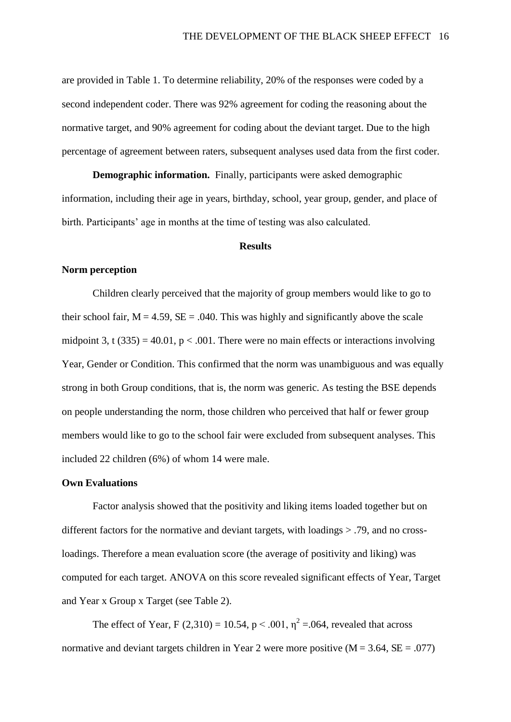are provided in Table 1. To determine reliability, 20% of the responses were coded by a second independent coder. There was 92% agreement for coding the reasoning about the normative target, and 90% agreement for coding about the deviant target. Due to the high percentage of agreement between raters, subsequent analyses used data from the first coder.

**Demographic information.** Finally, participants were asked demographic information, including their age in years, birthday, school, year group, gender, and place of birth. Participants' age in months at the time of testing was also calculated.

#### **Results**

#### **Norm perception**

Children clearly perceived that the majority of group members would like to go to their school fair,  $M = 4.59$ ,  $SE = .040$ . This was highly and significantly above the scale midpoint 3, t (335) = 40.01,  $p < .001$ . There were no main effects or interactions involving Year, Gender or Condition. This confirmed that the norm was unambiguous and was equally strong in both Group conditions, that is, the norm was generic. As testing the BSE depends on people understanding the norm, those children who perceived that half or fewer group members would like to go to the school fair were excluded from subsequent analyses. This included 22 children (6%) of whom 14 were male.

#### **Own Evaluations**

Factor analysis showed that the positivity and liking items loaded together but on different factors for the normative and deviant targets, with loadings > .79, and no crossloadings. Therefore a mean evaluation score (the average of positivity and liking) was computed for each target. ANOVA on this score revealed significant effects of Year, Target and Year x Group x Target (see Table 2).

The effect of Year, F (2,310) = 10.54, p < .001,  $\eta^2$  = .064, revealed that across normative and deviant targets children in Year 2 were more positive  $(M = 3.64, SE = .077)$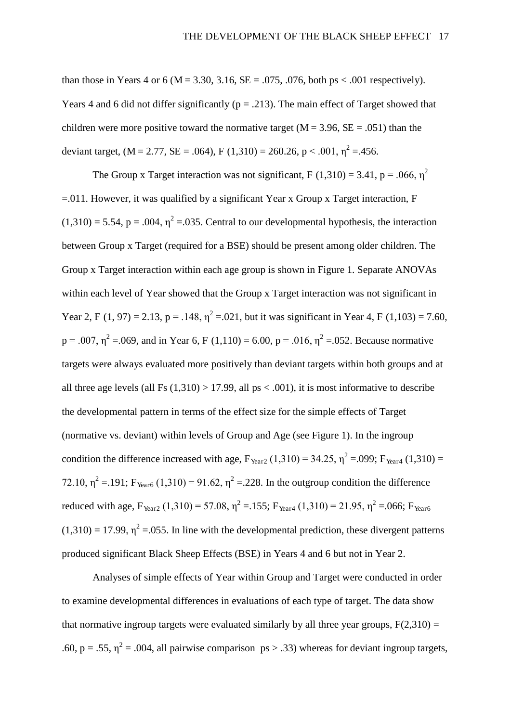than those in Years 4 or 6 ( $M = 3.30, 3.16, SE = .075, .076$ , both ps < .001 respectively). Years 4 and 6 did not differ significantly ( $p = .213$ ). The main effect of Target showed that children were more positive toward the normative target ( $M = 3.96$ ,  $SE = .051$ ) than the deviant target,  $(M = 2.77, SE = .064)$ ,  $F(1,310) = 260.26$ ,  $p < .001$ ,  $\eta^2 = .456$ .

The Group x Target interaction was not significant, F (1.310) = 3.41, p = .066,  $n^2$ =.011. However, it was qualified by a significant Year x Group x Target interaction, F  $(1,310) = 5.54$ , p = .004,  $\eta^2 = 0.035$ . Central to our developmental hypothesis, the interaction between Group x Target (required for a BSE) should be present among older children. The Group x Target interaction within each age group is shown in Figure 1. Separate ANOVAs within each level of Year showed that the Group x Target interaction was not significant in Year 2, F (1, 97) = 2.13, p = .148,  $\eta^2$  = .021, but it was significant in Year 4, F (1,103) = 7.60,  $p = .007$ ,  $\eta^2 = .069$ , and in Year 6, F (1,110) = 6.00, p = .016,  $\eta^2 = .052$ . Because normative targets were always evaluated more positively than deviant targets within both groups and at all three age levels (all Fs  $(1,310) > 17.99$ , all ps < .001), it is most informative to describe the developmental pattern in terms of the effect size for the simple effects of Target (normative vs. deviant) within levels of Group and Age (see Figure 1). In the ingroup condition the difference increased with age,  $F_{\text{Year2}} (1,310) = 34.25$ ,  $\eta^2 = .099$ ;  $F_{\text{Year4}} (1,310) =$ 72.10,  $\eta^2 = 191$ ; F<sub>Year6</sub> (1,310) = 91.62,  $\eta^2 = 228$ . In the outgroup condition the difference reduced with age,  $F_{Year2} (1,310) = 57.08$ ,  $\eta^2 = 155$ ;  $F_{Year4} (1,310) = 21.95$ ,  $\eta^2 = 0.06$ ;  $F_{Year6}$  $(1,310) = 17.99$ ,  $\eta^2 = 0.055$ . In line with the developmental prediction, these divergent patterns produced significant Black Sheep Effects (BSE) in Years 4 and 6 but not in Year 2.

Analyses of simple effects of Year within Group and Target were conducted in order to examine developmental differences in evaluations of each type of target. The data show that normative ingroup targets were evaluated similarly by all three year groups,  $F(2,310) =$ .60, p = .55,  $\eta^2$  = .004, all pairwise comparison ps > .33) whereas for deviant ingroup targets,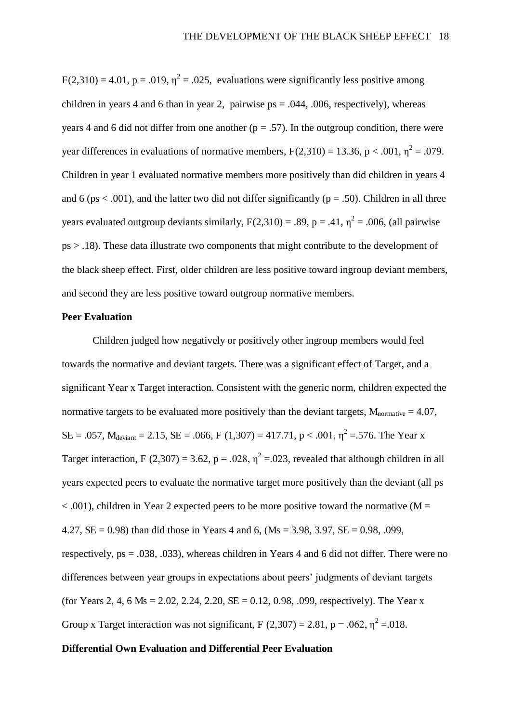$F(2,310) = 4.01$ ,  $p = .019$ ,  $\eta^2 = .025$ , evaluations were significantly less positive among children in years 4 and 6 than in year 2, pairwise  $ps = .044, .006$ , respectively), whereas years 4 and 6 did not differ from one another ( $p = .57$ ). In the outgroup condition, there were year differences in evaluations of normative members,  $F(2,310) = 13.36$ ,  $p < .001$ ,  $\eta^2 = .079$ . Children in year 1 evaluated normative members more positively than did children in years 4 and 6 (ps  $\lt$  .001), and the latter two did not differ significantly (p = .50). Children in all three years evaluated outgroup deviants similarly,  $F(2,310) = .89$ ,  $p = .41$ ,  $\eta^2 = .006$ , (all pairwise ps > .18). These data illustrate two components that might contribute to the development of the black sheep effect. First, older children are less positive toward ingroup deviant members, and second they are less positive toward outgroup normative members.

#### **Peer Evaluation**

Children judged how negatively or positively other ingroup members would feel towards the normative and deviant targets. There was a significant effect of Target, and a significant Year x Target interaction. Consistent with the generic norm, children expected the normative targets to be evaluated more positively than the deviant targets,  $M_{normalive} = 4.07$ ,  $SE = .057$ ,  $M_{deviant} = 2.15$ ,  $SE = .066$ ,  $F(1,307) = 417.71$ ,  $p < .001$ ,  $\eta^2 = .576$ . The Year x Target interaction, F (2,307) = 3.62, p = .028,  $\eta^2$  = .023, revealed that although children in all years expected peers to evaluate the normative target more positively than the deviant (all ps  $< .001$ ), children in Year 2 expected peers to be more positive toward the normative (M = 4.27,  $SE = 0.98$ ) than did those in Years 4 and 6, (Ms = 3.98, 3.97,  $SE = 0.98$ , 0.09, respectively, ps = .038, .033), whereas children in Years 4 and 6 did not differ. There were no differences between year groups in expectations about peers' judgments of deviant targets (for Years 2, 4, 6 Ms = 2.02, 2.24, 2.20,  $SE = 0.12$ , 0.98, .099, respectively). The Year x Group x Target interaction was not significant, F  $(2,307) = 2.81$ , p = .062,  $\eta^2 = .018$ .

#### **Differential Own Evaluation and Differential Peer Evaluation**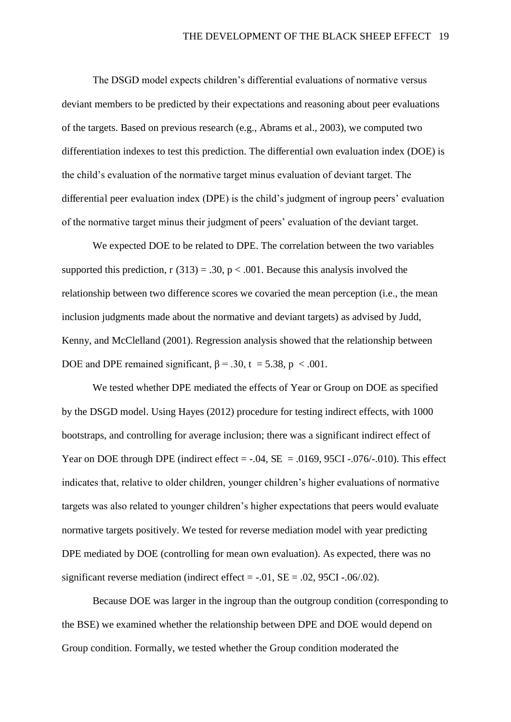The DSGD model expects children's differential evaluations of normative versus deviant members to be predicted by their expectations and reasoning about peer evaluations of the targets. Based on previous research (e.g., Abrams et al., 2003), we computed two differentiation indexes to test this prediction. The differential own evaluation index (DOE) is the child's evaluation of the normative target minus evaluation of deviant target. The differential peer evaluation index (DPE) is the child's judgment of ingroup peers' evaluation of the normative target minus their judgment of peers' evaluation of the deviant target.

We expected DOE to be related to DPE. The correlation between the two variables supported this prediction,  $r(313) = .30$ ,  $p < .001$ . Because this analysis involved the relationship between two difference scores we covaried the mean perception (i.e., the mean inclusion judgments made about the normative and deviant targets) as advised by Judd, Kenny, and McClelland (2001). Regression analysis showed that the relationship between DOE and DPE remained significant,  $\beta = .30$ ,  $t = 5.38$ ,  $p < .001$ .

We tested whether DPE mediated the effects of Year or Group on DOE as specified by the DSGD model. Using Hayes (2012) procedure for testing indirect effects, with 1000 bootstraps, and controlling for average inclusion; there was a significant indirect effect of Year on DOE through DPE (indirect effect  $= -.04$ ,  $SE = .0169$ , 95CI -.076/-.010). This effect indicates that, relative to older children, younger children's higher evaluations of normative targets was also related to younger children's higher expectations that peers would evaluate normative targets positively. We tested for reverse mediation model with year predicting DPE mediated by DOE (controlling for mean own evaluation). As expected, there was no significant reverse mediation (indirect effect  $= -0.01$ ,  $SE = 0.02$ ,  $95CI - 0.06/02$ ).

Because DOE was larger in the ingroup than the outgroup condition (corresponding to the BSE) we examined whether the relationship between DPE and DOE would depend on Group condition. Formally, we tested whether the Group condition moderated the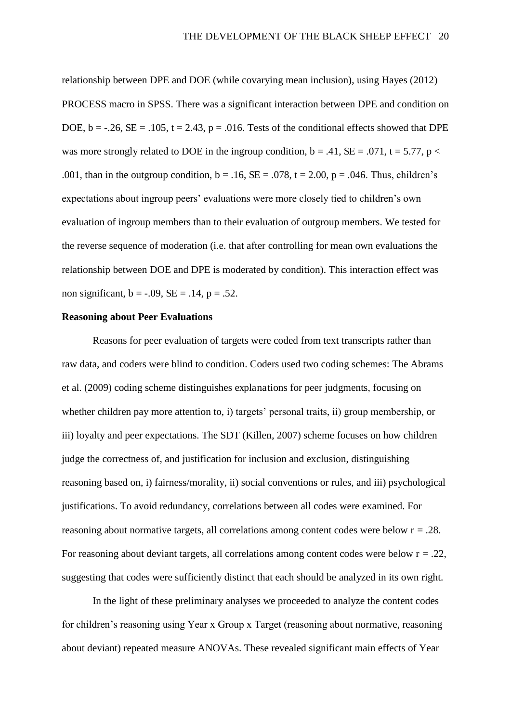relationship between DPE and DOE (while covarying mean inclusion), using Hayes (2012) PROCESS macro in SPSS. There was a significant interaction between DPE and condition on DOE,  $b = -26$ ,  $SE = -105$ ,  $t = 2.43$ ,  $p = -016$ . Tests of the conditional effects showed that DPE was more strongly related to DOE in the ingroup condition,  $b = .41$ ,  $SE = .071$ ,  $t = 5.77$ ,  $p <$ .001, than in the outgroup condition,  $b = .16$ ,  $SE = .078$ ,  $t = 2.00$ ,  $p = .046$ . Thus, children's expectations about ingroup peers' evaluations were more closely tied to children's own evaluation of ingroup members than to their evaluation of outgroup members. We tested for the reverse sequence of moderation (i.e. that after controlling for mean own evaluations the relationship between DOE and DPE is moderated by condition). This interaction effect was non significant,  $b = -.09$ ,  $SE = .14$ ,  $p = .52$ .

#### **Reasoning about Peer Evaluations**

Reasons for peer evaluation of targets were coded from text transcripts rather than raw data, and coders were blind to condition. Coders used two coding schemes: The Abrams et al. (2009) coding scheme distinguishes explanations for peer judgments, focusing on whether children pay more attention to, i) targets' personal traits, ii) group membership, or iii) loyalty and peer expectations. The SDT (Killen, 2007) scheme focuses on how children judge the correctness of, and justification for inclusion and exclusion, distinguishing reasoning based on, i) fairness/morality, ii) social conventions or rules, and iii) psychological justifications. To avoid redundancy, correlations between all codes were examined. For reasoning about normative targets, all correlations among content codes were below  $r = .28$ . For reasoning about deviant targets, all correlations among content codes were below  $r = .22$ , suggesting that codes were sufficiently distinct that each should be analyzed in its own right.

In the light of these preliminary analyses we proceeded to analyze the content codes for children's reasoning using Year x Group x Target (reasoning about normative, reasoning about deviant) repeated measure ANOVAs. These revealed significant main effects of Year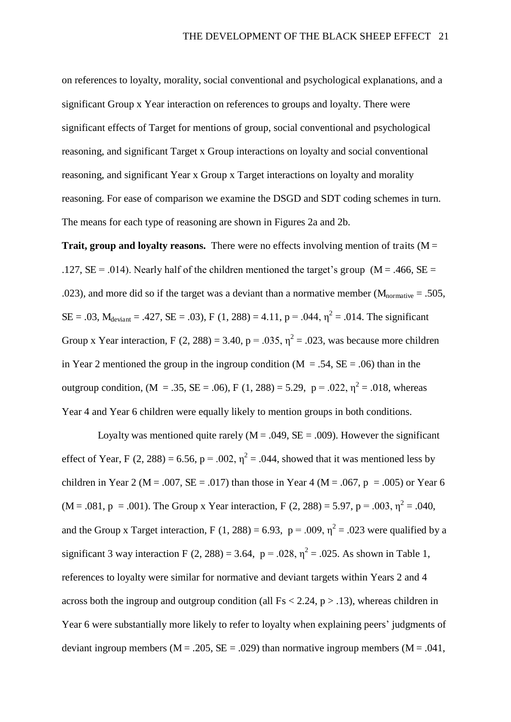on references to loyalty, morality, social conventional and psychological explanations, and a significant Group x Year interaction on references to groups and loyalty. There were significant effects of Target for mentions of group, social conventional and psychological reasoning, and significant Target x Group interactions on loyalty and social conventional reasoning, and significant Year x Group x Target interactions on loyalty and morality reasoning. For ease of comparison we examine the DSGD and SDT coding schemes in turn. The means for each type of reasoning are shown in Figures 2a and 2b.

**Trait, group and loyalty reasons.** There were no effects involving mention of traits ( $M =$ .127,  $SE = .014$ ). Nearly half of the children mentioned the target's group ( $M = .466$ ,  $SE =$ .023), and more did so if the target was a deviant than a normative member ( $M_{\text{normative}} = .505$ ,  $SE = .03$ ,  $M_{deviant} = .427$ ,  $SE = .03$ ),  $F(1, 288) = 4.11$ ,  $p = .044$ ,  $\eta^2 = .014$ . The significant Group x Year interaction, F  $(2, 288) = 3.40$ , p = .035,  $\eta^2 = .023$ , was because more children in Year 2 mentioned the group in the ingroup condition ( $M = .54$ ,  $SE = .06$ ) than in the outgroup condition, (M = .35, SE = .06), F (1, 288) = 5.29, p = .022,  $\eta^2$  = .018, whereas Year 4 and Year 6 children were equally likely to mention groups in both conditions.

Loyalty was mentioned quite rarely ( $M = .049$ ,  $SE = .009$ ). However the significant effect of Year, F (2, 288) = 6.56, p = .002,  $\eta^2$  = .044, showed that it was mentioned less by children in Year 2 (M = .007, SE = .017) than those in Year 4 (M = .067, p = .005) or Year 6  $(M = .081, p = .001)$ . The Group x Year interaction, F (2, 288) = 5.97, p = .003,  $\eta^2$  = .040, and the Group x Target interaction, F (1, 288) = 6.93, p = .009,  $\eta^2$  = .023 were qualified by a significant 3 way interaction F (2, 288) = 3.64,  $p = .028$ ,  $\eta^2 = .025$ . As shown in Table 1, references to loyalty were similar for normative and deviant targets within Years 2 and 4 across both the ingroup and outgroup condition (all  $Fs < 2.24$ ,  $p > .13$ ), whereas children in Year 6 were substantially more likely to refer to loyalty when explaining peers' judgments of deviant ingroup members ( $M = .205$ ,  $SE = .029$ ) than normative ingroup members ( $M = .041$ ,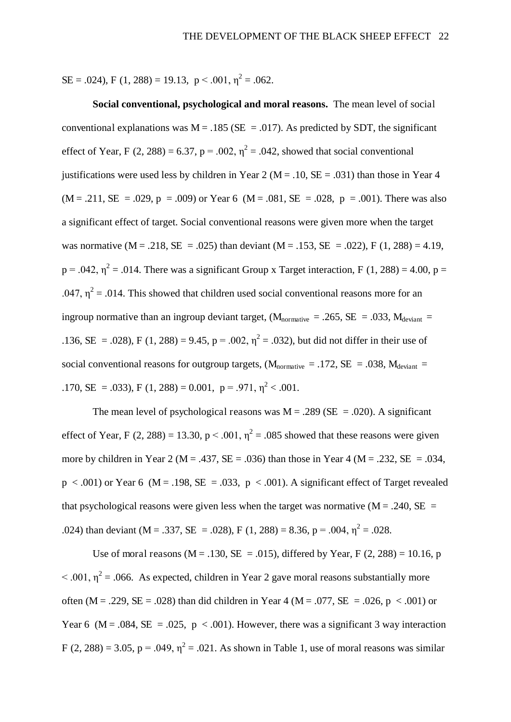$SE = .024$ , F (1, 288) = 19.13, p < .001,  $\eta^2 = .062$ .

**Social conventional, psychological and moral reasons.** The mean level of social conventional explanations was  $M = .185$  (SE = .017). As predicted by SDT, the significant effect of Year, F (2, 288) = 6.37, p = .002,  $\eta^2$  = .042, showed that social conventional justifications were used less by children in Year 2 ( $M = .10$ ,  $SE = .031$ ) than those in Year 4  $(M = .211, SE = .029, p = .009)$  or Year 6  $(M = .081, SE = .028, p = .001)$ . There was also a significant effect of target. Social conventional reasons were given more when the target was normative  $(M = .218, SE = .025)$  than deviant  $(M = .153, SE = .022)$ , F  $(1, 288) = 4.19$ ,  $p = .042$ ,  $\eta^2 = .014$ . There was a significant Group x Target interaction, F (1, 288) = 4.00, p = .047,  $\eta^2$  = .014. This showed that children used social conventional reasons more for an ingroup normative than an ingroup deviant target,  $(M_{normalive} = .265, SE = .033, M_{deviant} =$ .136, SE = .028), F (1, 288) = 9.45, p = .002,  $\eta^2$  = .032), but did not differ in their use of social conventional reasons for outgroup targets,  $(M_{normalive} = .172, SE = .038, M_{deviant} = .038)$ .170, SE = .033), F (1, 288) = 0.001, p = .971,  $\eta^2$  < .001.

The mean level of psychological reasons was  $M = .289$  (SE = .020). A significant effect of Year, F (2, 288) = 13.30, p < .001,  $\eta^2$  = .085 showed that these reasons were given more by children in Year 2 ( $M = .437$ ,  $SE = .036$ ) than those in Year 4 ( $M = .232$ ,  $SE = .034$ ,  $p < .001$ ) or Year 6 (M = .198, SE = .033,  $p < .001$ ). A significant effect of Target revealed that psychological reasons were given less when the target was normative ( $M = .240$ ,  $SE =$ .024) than deviant (M = .337, SE = .028), F (1, 288) = 8.36, p = .004,  $\eta^2$  = .028.

Use of moral reasons ( $M = .130$ ,  $SE = .015$ ), differed by Year, F (2, 288) = 10.16, p  $< .001$ ,  $\eta^2 = .066$ . As expected, children in Year 2 gave moral reasons substantially more often (M = .229, SE = .028) than did children in Year 4 (M = .077, SE = .026, p < .001) or Year 6 (M = .084, SE = .025, p < .001). However, there was a significant 3 way interaction F (2, 288) = 3.05, p = .049,  $\eta^2$  = .021. As shown in Table 1, use of moral reasons was similar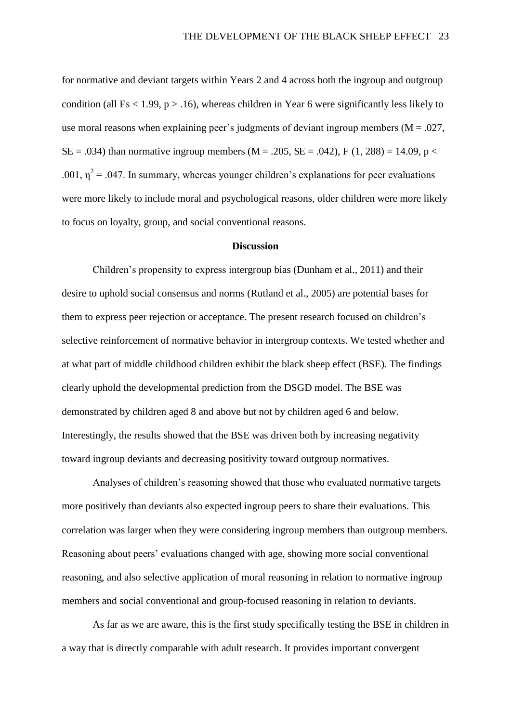for normative and deviant targets within Years 2 and 4 across both the ingroup and outgroup condition (all  $Fs < 1.99$ ,  $p > .16$ ), whereas children in Year 6 were significantly less likely to use moral reasons when explaining peer's judgments of deviant ingroup members  $(M = .027)$ ,  $SE = .034$ ) than normative ingroup members (M = .205, SE = .042), F (1, 288) = 14.09, p < .001,  $\eta^2$  = .047. In summary, whereas younger children's explanations for peer evaluations were more likely to include moral and psychological reasons, older children were more likely to focus on loyalty, group, and social conventional reasons.

#### **Discussion**

Children's propensity to express intergroup bias (Dunham et al., 2011) and their desire to uphold social consensus and norms (Rutland et al., 2005) are potential bases for them to express peer rejection or acceptance. The present research focused on children's selective reinforcement of normative behavior in intergroup contexts. We tested whether and at what part of middle childhood children exhibit the black sheep effect (BSE). The findings clearly uphold the developmental prediction from the DSGD model. The BSE was demonstrated by children aged 8 and above but not by children aged 6 and below. Interestingly, the results showed that the BSE was driven both by increasing negativity toward ingroup deviants and decreasing positivity toward outgroup normatives.

Analyses of children's reasoning showed that those who evaluated normative targets more positively than deviants also expected ingroup peers to share their evaluations. This correlation was larger when they were considering ingroup members than outgroup members. Reasoning about peers' evaluations changed with age, showing more social conventional reasoning, and also selective application of moral reasoning in relation to normative ingroup members and social conventional and group-focused reasoning in relation to deviants.

As far as we are aware, this is the first study specifically testing the BSE in children in a way that is directly comparable with adult research. It provides important convergent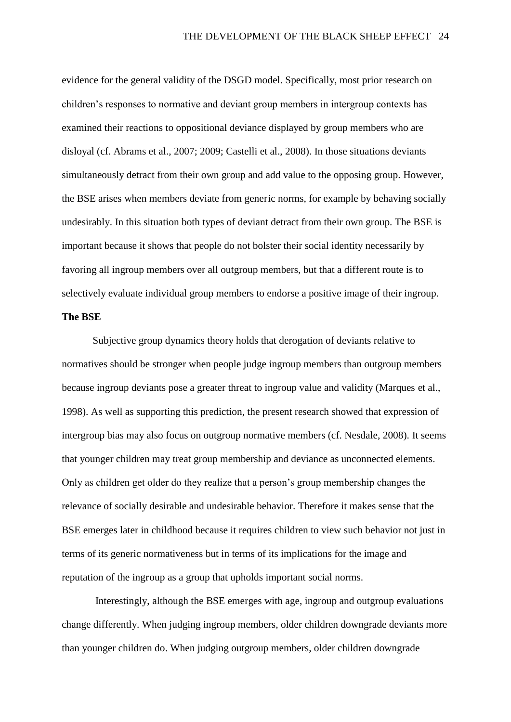evidence for the general validity of the DSGD model. Specifically, most prior research on children's responses to normative and deviant group members in intergroup contexts has examined their reactions to oppositional deviance displayed by group members who are disloyal (cf. Abrams et al., 2007; 2009; Castelli et al., 2008). In those situations deviants simultaneously detract from their own group and add value to the opposing group. However, the BSE arises when members deviate from generic norms, for example by behaving socially undesirably. In this situation both types of deviant detract from their own group. The BSE is important because it shows that people do not bolster their social identity necessarily by favoring all ingroup members over all outgroup members, but that a different route is to selectively evaluate individual group members to endorse a positive image of their ingroup.

#### **The BSE**

Subjective group dynamics theory holds that derogation of deviants relative to normatives should be stronger when people judge ingroup members than outgroup members because ingroup deviants pose a greater threat to ingroup value and validity (Marques et al., 1998). As well as supporting this prediction, the present research showed that expression of intergroup bias may also focus on outgroup normative members (cf. Nesdale, 2008). It seems that younger children may treat group membership and deviance as unconnected elements. Only as children get older do they realize that a person's group membership changes the relevance of socially desirable and undesirable behavior. Therefore it makes sense that the BSE emerges later in childhood because it requires children to view such behavior not just in terms of its generic normativeness but in terms of its implications for the image and reputation of the ingroup as a group that upholds important social norms.

 Interestingly, although the BSE emerges with age, ingroup and outgroup evaluations change differently. When judging ingroup members, older children downgrade deviants more than younger children do. When judging outgroup members, older children downgrade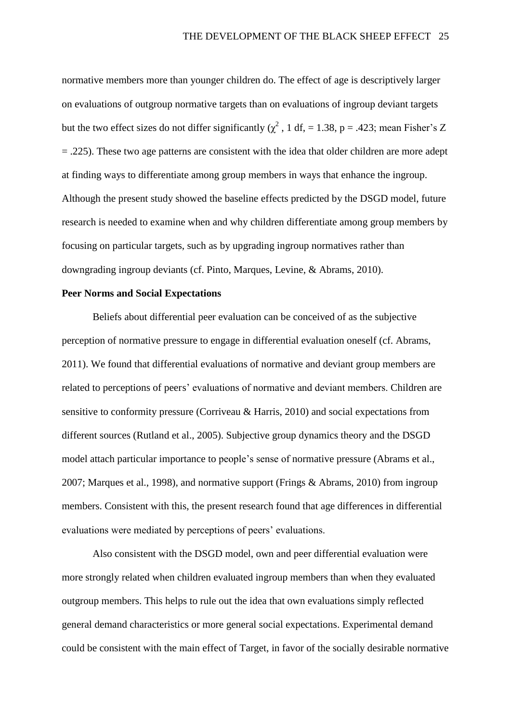normative members more than younger children do. The effect of age is descriptively larger on evaluations of outgroup normative targets than on evaluations of ingroup deviant targets but the two effect sizes do not differ significantly  $\chi^2$ , 1 df, = 1.38, p = .423; mean Fisher's Z = .225). These two age patterns are consistent with the idea that older children are more adept at finding ways to differentiate among group members in ways that enhance the ingroup. Although the present study showed the baseline effects predicted by the DSGD model, future research is needed to examine when and why children differentiate among group members by focusing on particular targets, such as by upgrading ingroup normatives rather than downgrading ingroup deviants (cf. Pinto, Marques, Levine, & Abrams, 2010).

#### **Peer Norms and Social Expectations**

Beliefs about differential peer evaluation can be conceived of as the subjective perception of normative pressure to engage in differential evaluation oneself (cf. Abrams, 2011). We found that differential evaluations of normative and deviant group members are related to perceptions of peers' evaluations of normative and deviant members. Children are sensitive to conformity pressure (Corriveau & Harris, 2010) and social expectations from different sources (Rutland et al., 2005). Subjective group dynamics theory and the DSGD model attach particular importance to people's sense of normative pressure (Abrams et al., 2007; Marques et al., 1998), and normative support (Frings & Abrams, 2010) from ingroup members. Consistent with this, the present research found that age differences in differential evaluations were mediated by perceptions of peers' evaluations.

Also consistent with the DSGD model, own and peer differential evaluation were more strongly related when children evaluated ingroup members than when they evaluated outgroup members. This helps to rule out the idea that own evaluations simply reflected general demand characteristics or more general social expectations. Experimental demand could be consistent with the main effect of Target, in favor of the socially desirable normative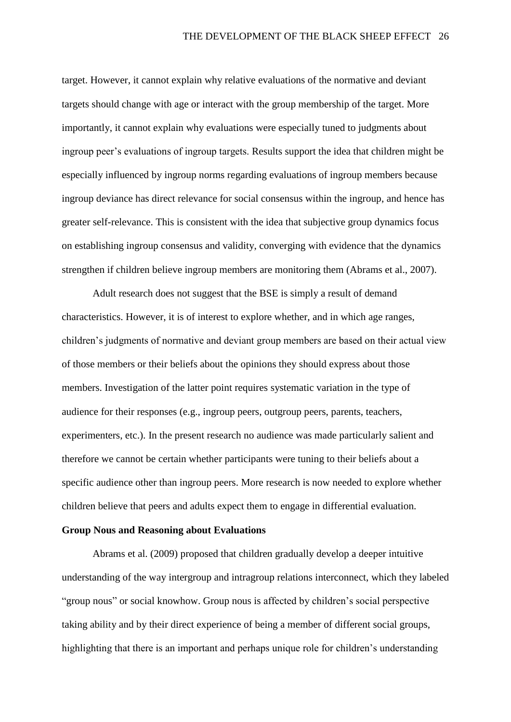target. However, it cannot explain why relative evaluations of the normative and deviant targets should change with age or interact with the group membership of the target. More importantly, it cannot explain why evaluations were especially tuned to judgments about ingroup peer's evaluations of ingroup targets. Results support the idea that children might be especially influenced by ingroup norms regarding evaluations of ingroup members because ingroup deviance has direct relevance for social consensus within the ingroup, and hence has greater self-relevance. This is consistent with the idea that subjective group dynamics focus on establishing ingroup consensus and validity, converging with evidence that the dynamics strengthen if children believe ingroup members are monitoring them (Abrams et al., 2007).

Adult research does not suggest that the BSE is simply a result of demand characteristics. However, it is of interest to explore whether, and in which age ranges, children's judgments of normative and deviant group members are based on their actual view of those members or their beliefs about the opinions they should express about those members. Investigation of the latter point requires systematic variation in the type of audience for their responses (e.g., ingroup peers, outgroup peers, parents, teachers, experimenters, etc.). In the present research no audience was made particularly salient and therefore we cannot be certain whether participants were tuning to their beliefs about a specific audience other than ingroup peers. More research is now needed to explore whether children believe that peers and adults expect them to engage in differential evaluation.

#### **Group Nous and Reasoning about Evaluations**

Abrams et al. (2009) proposed that children gradually develop a deeper intuitive understanding of the way intergroup and intragroup relations interconnect, which they labeled "group nous" or social knowhow. Group nous is affected by children's social perspective taking ability and by their direct experience of being a member of different social groups, highlighting that there is an important and perhaps unique role for children's understanding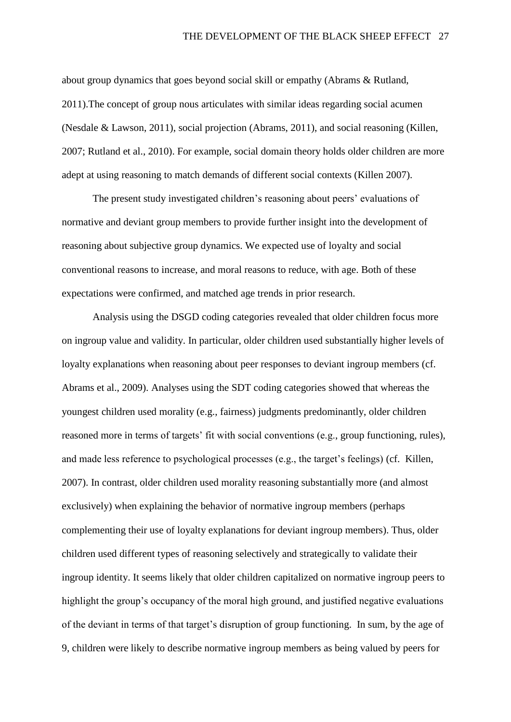about group dynamics that goes beyond social skill or empathy (Abrams & Rutland, 2011).The concept of group nous articulates with similar ideas regarding social acumen (Nesdale & Lawson, 2011), social projection (Abrams, 2011), and social reasoning (Killen, 2007; Rutland et al., 2010). For example, social domain theory holds older children are more adept at using reasoning to match demands of different social contexts (Killen 2007).

The present study investigated children's reasoning about peers' evaluations of normative and deviant group members to provide further insight into the development of reasoning about subjective group dynamics. We expected use of loyalty and social conventional reasons to increase, and moral reasons to reduce, with age. Both of these expectations were confirmed, and matched age trends in prior research.

Analysis using the DSGD coding categories revealed that older children focus more on ingroup value and validity. In particular, older children used substantially higher levels of loyalty explanations when reasoning about peer responses to deviant ingroup members (cf. Abrams et al., 2009). Analyses using the SDT coding categories showed that whereas the youngest children used morality (e.g., fairness) judgments predominantly, older children reasoned more in terms of targets' fit with social conventions (e.g., group functioning, rules), and made less reference to psychological processes (e.g., the target's feelings) (cf. Killen, 2007). In contrast, older children used morality reasoning substantially more (and almost exclusively) when explaining the behavior of normative ingroup members (perhaps complementing their use of loyalty explanations for deviant ingroup members). Thus, older children used different types of reasoning selectively and strategically to validate their ingroup identity. It seems likely that older children capitalized on normative ingroup peers to highlight the group's occupancy of the moral high ground, and justified negative evaluations of the deviant in terms of that target's disruption of group functioning. In sum, by the age of 9, children were likely to describe normative ingroup members as being valued by peers for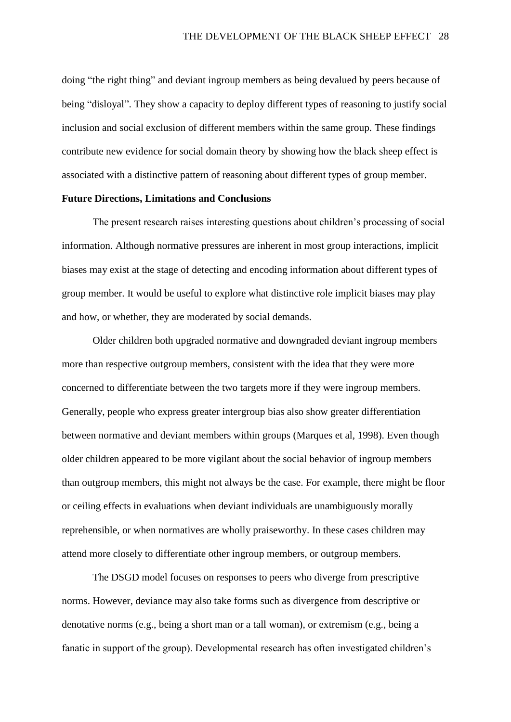doing "the right thing" and deviant ingroup members as being devalued by peers because of being "disloyal". They show a capacity to deploy different types of reasoning to justify social inclusion and social exclusion of different members within the same group. These findings contribute new evidence for social domain theory by showing how the black sheep effect is associated with a distinctive pattern of reasoning about different types of group member.

#### **Future Directions, Limitations and Conclusions**

The present research raises interesting questions about children's processing of social information. Although normative pressures are inherent in most group interactions, implicit biases may exist at the stage of detecting and encoding information about different types of group member. It would be useful to explore what distinctive role implicit biases may play and how, or whether, they are moderated by social demands.

Older children both upgraded normative and downgraded deviant ingroup members more than respective outgroup members, consistent with the idea that they were more concerned to differentiate between the two targets more if they were ingroup members. Generally, people who express greater intergroup bias also show greater differentiation between normative and deviant members within groups (Marques et al, 1998). Even though older children appeared to be more vigilant about the social behavior of ingroup members than outgroup members, this might not always be the case. For example, there might be floor or ceiling effects in evaluations when deviant individuals are unambiguously morally reprehensible, or when normatives are wholly praiseworthy. In these cases children may attend more closely to differentiate other ingroup members, or outgroup members.

The DSGD model focuses on responses to peers who diverge from prescriptive norms. However, deviance may also take forms such as divergence from descriptive or denotative norms (e.g., being a short man or a tall woman), or extremism (e.g., being a fanatic in support of the group). Developmental research has often investigated children's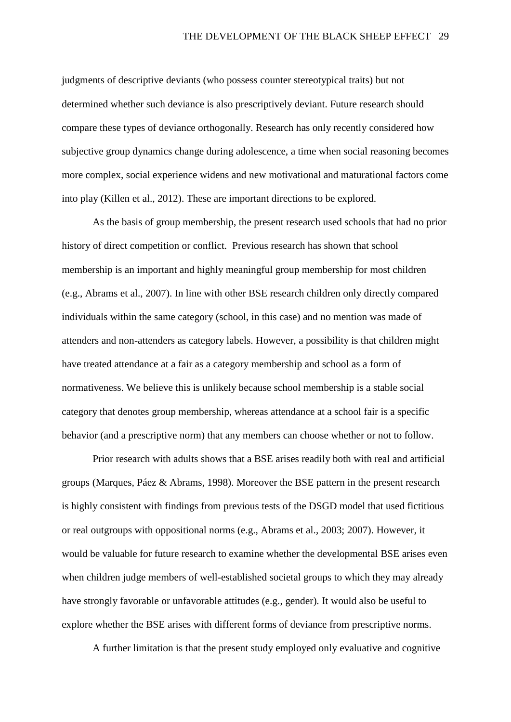judgments of descriptive deviants (who possess counter stereotypical traits) but not determined whether such deviance is also prescriptively deviant. Future research should compare these types of deviance orthogonally. Research has only recently considered how subjective group dynamics change during adolescence, a time when social reasoning becomes more complex, social experience widens and new motivational and maturational factors come into play (Killen et al., 2012). These are important directions to be explored.

As the basis of group membership, the present research used schools that had no prior history of direct competition or conflict. Previous research has shown that school membership is an important and highly meaningful group membership for most children (e.g., Abrams et al., 2007). In line with other BSE research children only directly compared individuals within the same category (school, in this case) and no mention was made of attenders and non-attenders as category labels. However, a possibility is that children might have treated attendance at a fair as a category membership and school as a form of normativeness. We believe this is unlikely because school membership is a stable social category that denotes group membership, whereas attendance at a school fair is a specific behavior (and a prescriptive norm) that any members can choose whether or not to follow.

Prior research with adults shows that a BSE arises readily both with real and artificial groups (Marques, Páez & Abrams, 1998). Moreover the BSE pattern in the present research is highly consistent with findings from previous tests of the DSGD model that used fictitious or real outgroups with oppositional norms (e.g., Abrams et al., 2003; 2007). However, it would be valuable for future research to examine whether the developmental BSE arises even when children judge members of well-established societal groups to which they may already have strongly favorable or unfavorable attitudes (e.g., gender). It would also be useful to explore whether the BSE arises with different forms of deviance from prescriptive norms.

A further limitation is that the present study employed only evaluative and cognitive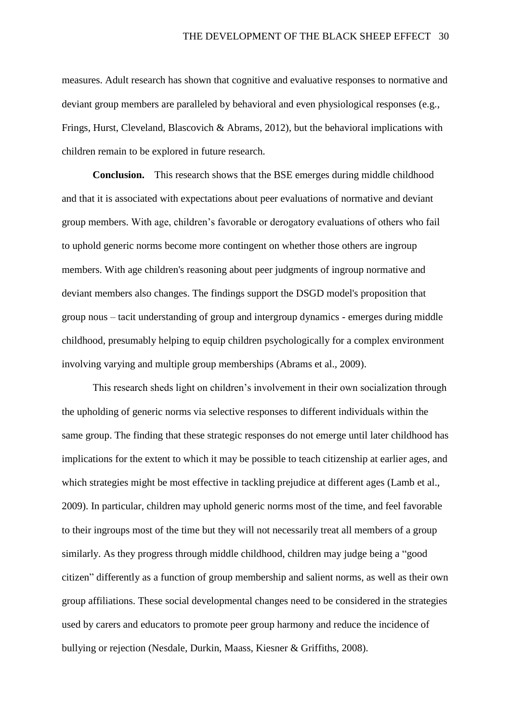measures. Adult research has shown that cognitive and evaluative responses to normative and deviant group members are paralleled by behavioral and even physiological responses (e.g., Frings, Hurst, Cleveland, Blascovich & Abrams, 2012), but the behavioral implications with children remain to be explored in future research.

**Conclusion.** This research shows that the BSE emerges during middle childhood and that it is associated with expectations about peer evaluations of normative and deviant group members. With age, children's favorable or derogatory evaluations of others who fail to uphold generic norms become more contingent on whether those others are ingroup members. With age children's reasoning about peer judgments of ingroup normative and deviant members also changes. The findings support the DSGD model's proposition that group nous – tacit understanding of group and intergroup dynamics - emerges during middle childhood, presumably helping to equip children psychologically for a complex environment involving varying and multiple group memberships (Abrams et al., 2009).

This research sheds light on children's involvement in their own socialization through the upholding of generic norms via selective responses to different individuals within the same group. The finding that these strategic responses do not emerge until later childhood has implications for the extent to which it may be possible to teach citizenship at earlier ages, and which strategies might be most effective in tackling prejudice at different ages (Lamb et al., 2009). In particular, children may uphold generic norms most of the time, and feel favorable to their ingroups most of the time but they will not necessarily treat all members of a group similarly. As they progress through middle childhood, children may judge being a "good citizen" differently as a function of group membership and salient norms, as well as their own group affiliations. These social developmental changes need to be considered in the strategies used by carers and educators to promote peer group harmony and reduce the incidence of bullying or rejection (Nesdale, Durkin, Maass, Kiesner & Griffiths, 2008).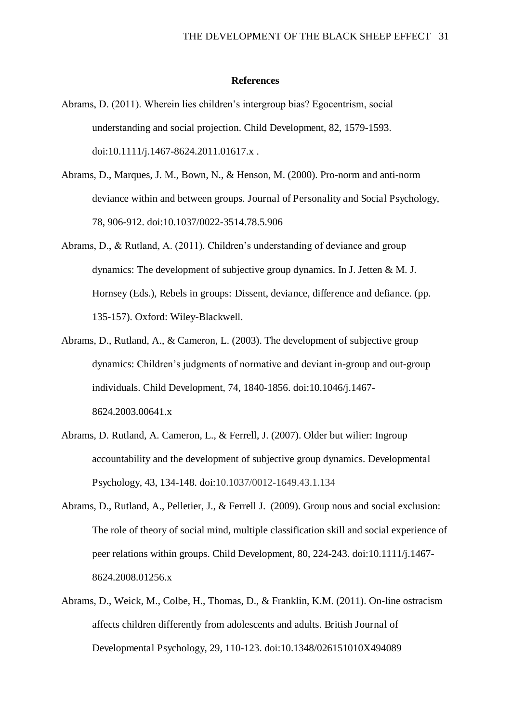#### **References**

- Abrams, D. (2011). Wherein lies children's intergroup bias? Egocentrism, social understanding and social projection. Child Development, 82, 1579-1593. doi:10.1111/j.1467-8624.2011.01617.x .
- Abrams, D., Marques, J. M., Bown, N., & Henson, M. (2000). Pro-norm and anti-norm deviance within and between groups. Journal of Personality and Social Psychology, 78, 906-912. doi:10.1037/0022-3514.78.5.906
- Abrams, D., & Rutland, A. (2011). Children's understanding of deviance and group dynamics: The development of subjective group dynamics. In J. Jetten  $\& M, J$ . Hornsey (Eds.), Rebels in groups: Dissent, deviance, difference and defiance. (pp. 135-157). Oxford: Wiley-Blackwell.
- Abrams, D., Rutland, A., & Cameron, L. (2003). The development of subjective group dynamics: Children's judgments of normative and deviant in-group and out-group individuals. Child Development, 74, 1840-1856. doi:10.1046/j.1467- 8624.2003.00641.x
- Abrams, D. Rutland, A. Cameron, L., & Ferrell, J. (2007). Older but wilier: Ingroup accountability and the development of subjective group dynamics. Developmental Psychology, 43, 134-148. doi:10.1037/0012-1649.43.1.134
- Abrams, D., Rutland, A., Pelletier, J., & Ferrell J. (2009). Group nous and social exclusion: The role of theory of social mind, multiple classification skill and social experience of peer relations within groups. Child Development, 80, 224-243. doi:10.1111/j.1467- 8624.2008.01256.x
- Abrams, D., Weick, M., Colbe, H., Thomas, D., & Franklin, K.M. (2011). On-line ostracism affects children differently from adolescents and adults. British Journal of Developmental Psychology, 29, 110-123. doi:10.1348/026151010X494089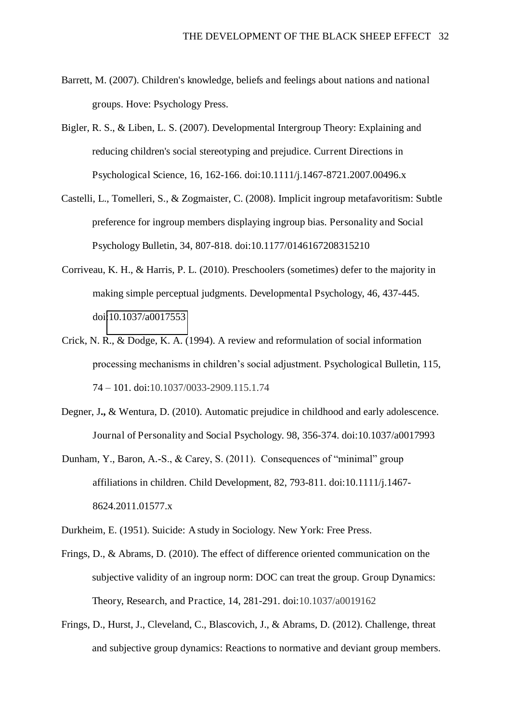- Barrett, M. (2007). Children's knowledge, beliefs and feelings about nations and national groups. Hove: Psychology Press.
- Bigler, R. S., & Liben, L. S. (2007). Developmental Intergroup Theory: Explaining and reducing children's social stereotyping and prejudice. Current Directions in Psychological Science, 16, 162-166. doi:10.1111/j.1467-8721.2007.00496.x
- Castelli, L., Tomelleri, S., & Zogmaister, C. (2008). Implicit ingroup metafavoritism: Subtle preference for ingroup members displaying ingroup bias. Personality and Social Psychology Bulletin, 34, 807-818. doi:10.1177/0146167208315210
- Corriveau, K. H., & Harris, P. L. (2010). Preschoolers (sometimes) defer to the majority in making simple perceptual judgments. Developmental Psychology, 46, 437-445. doi[:10.1037/a0017553](http://psycnet.apa.org/doi/10.1037/a0017553)
- Crick, N. R., & Dodge, K. A. (1994). A review and reformulation of social information processing mechanisms in children's social adjustment. Psychological Bulletin, 115, 74 – 101. doi:10.1037/0033-2909.115.1.74
- Degner, J**.,** & Wentura, D. (2010). Automatic prejudice in childhood and early adolescence. Journal of Personality and Social Psychology. 98, 356-374. doi:10.1037/a0017993
- Dunham, Y., Baron, A.-S., & Carey, S. (2011). Consequences of "minimal" group affiliations in children. Child Development, 82, 793-811. doi:10.1111/j.1467- 8624.2011.01577.x

Durkheim, E. (1951). Suicide: A study in Sociology. New York: Free Press.

- Frings, D., & Abrams, D. (2010). The effect of difference oriented communication on the subjective validity of an ingroup norm: DOC can treat the group. Group Dynamics: Theory, Research, and Practice, 14, 281-291. doi:10.1037/a0019162
- Frings, D., Hurst, J., Cleveland, C., Blascovich, J., & Abrams, D. (2012). Challenge, threat and subjective group dynamics: Reactions to normative and deviant group members.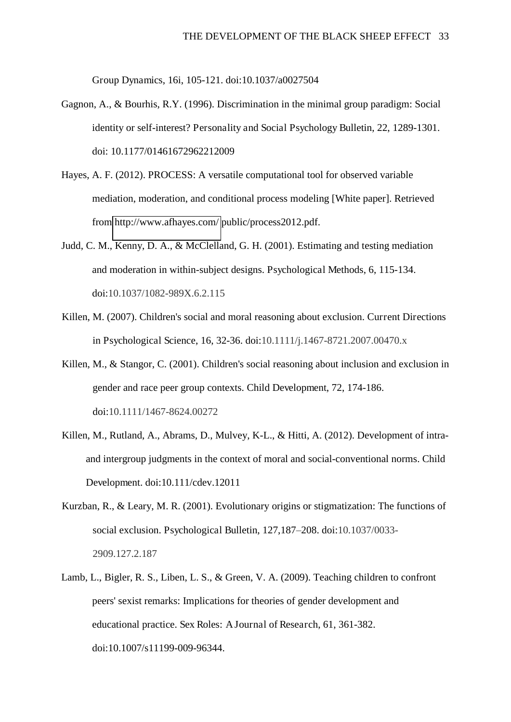Group Dynamics, 16i, 105-121. doi:10.1037/a0027504

- Gagnon, A., & Bourhis, R.Y. (1996). Discrimination in the minimal group paradigm: Social identity or self-interest? Personality and Social Psychology Bulletin, 22, 1289-1301. doi: 10.1177/01461672962212009
- Hayes, A. F. (2012). PROCESS: A versatile computational tool for observed variable mediation, moderation, and conditional process modeling [White paper]. Retrieved from<http://www.afhayes.com/>public/process2012.pdf.
- Judd, C. M., Kenny, D. A., & McClelland, G. H. (2001). Estimating and testing mediation and moderation in within-subject designs. Psychological Methods, 6, 115-134. doi:10.1037/1082-989X.6.2.115
- Killen, M. (2007). Children's social and moral reasoning about exclusion. Current Directions in Psychological Science, 16, 32-36. doi:10.1111/j.1467-8721.2007.00470.x
- Killen, M., & Stangor, C. (2001). Children's social reasoning about inclusion and exclusion in gender and race peer group contexts. Child Development, 72, 174-186. doi:10.1111/1467-8624.00272
- Killen, M., Rutland, A., Abrams, D., Mulvey, K-L., & Hitti, A. (2012). Development of intraand intergroup judgments in the context of moral and social-conventional norms. Child Development. doi:10.111/cdev.12011
- Kurzban, R., & Leary, M. R. (2001). Evolutionary origins or stigmatization: The functions of social exclusion. Psychological Bulletin, 127,187–208. doi:10.1037/0033- 2909.127.2.187
- Lamb, L., Bigler, R. S., Liben, L. S., & Green, V. A. (2009). Teaching children to confront peers' sexist remarks: Implications for theories of gender development and educational practice. Sex Roles: A Journal of Research, 61, 361-382. doi:10.1007/s11199-009-96344.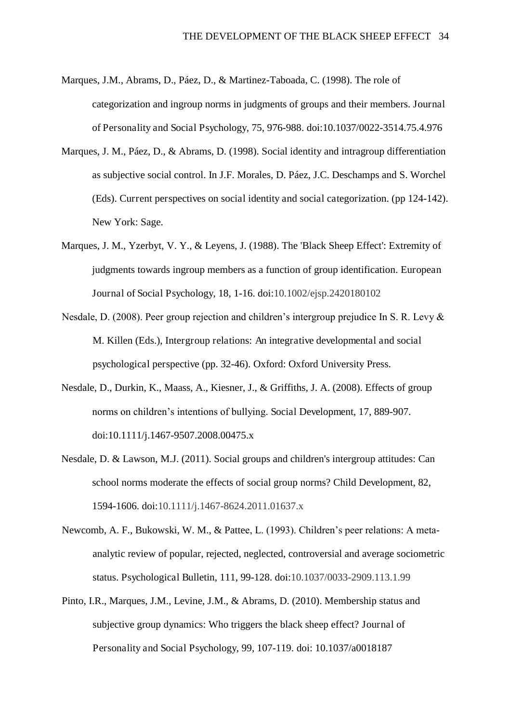- Marques, J.M., Abrams, D., Páez, D., & Martinez-Taboada, C. (1998). The role of categorization and ingroup norms in judgments of groups and their members. Journal of Personality and Social Psychology, 75, 976-988. doi:10.1037/0022-3514.75.4.976
- Marques, J. M., Páez, D., & Abrams, D. (1998). Social identity and intragroup differentiation as subjective social control. In J.F. Morales, D. Páez, J.C. Deschamps and S. Worchel (Eds). Current perspectives on social identity and social categorization. (pp 124-142). New York: Sage.
- Marques, J. M., Yzerbyt, V. Y., & Leyens, J. (1988). The 'Black Sheep Effect': Extremity of judgments towards ingroup members as a function of group identification. European Journal of Social Psychology, 18, 1-16. doi:10.1002/ejsp.2420180102
- Nesdale, D. (2008). Peer group rejection and children's intergroup prejudice In S. R. Levy & M. Killen (Eds.), Intergroup relations: An integrative developmental and social psychological perspective (pp. 32-46). Oxford: Oxford University Press.
- Nesdale, D., Durkin, K., Maass, A., Kiesner, J., & Griffiths, J. A. (2008). Effects of group norms on children's intentions of bullying. Social Development, 17, 889-907. doi:10.1111/j.1467-9507.2008.00475.x
- Nesdale, D. & Lawson, M.J. (2011). Social groups and children's intergroup attitudes: Can school norms moderate the effects of social group norms? Child Development, 82, 1594-1606. doi:10.1111/j.1467-8624.2011.01637.x
- Newcomb, A. F., Bukowski, W. M., & Pattee, L. (1993). Children's peer relations: A metaanalytic review of popular, rejected, neglected, controversial and average sociometric status. Psychological Bulletin, 111, 99-128. doi:10.1037/0033-2909.113.1.99
- Pinto, I.R., Marques, J.M., Levine, J.M., & Abrams, D. (2010). Membership status and subjective group dynamics: Who triggers the black sheep effect? Journal of Personality and Social Psychology, 99, 107-119. doi: 10.1037/a0018187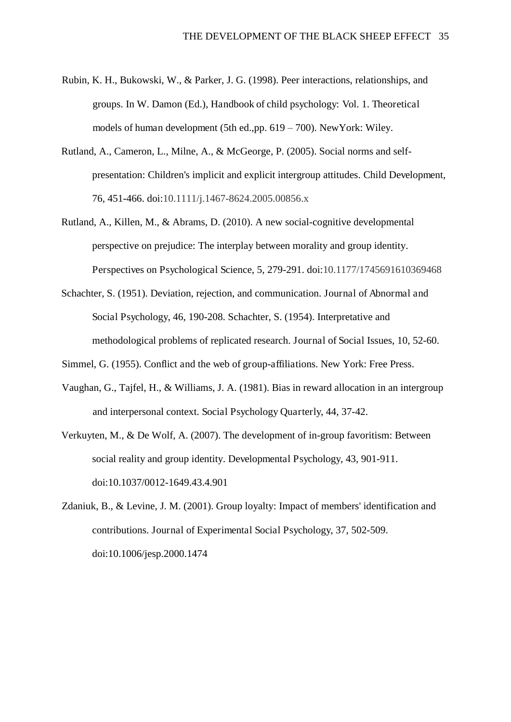- Rubin, K. H., Bukowski, W., & Parker, J. G. (1998). Peer interactions, relationships, and groups. In W. Damon (Ed.), Handbook of child psychology: Vol. 1. Theoretical models of human development (5th ed.,pp. 619 – 700). NewYork: Wiley.
- Rutland, A., Cameron, L., Milne, A., & McGeorge, P. (2005). Social norms and selfpresentation: Children's implicit and explicit intergroup attitudes. Child Development, 76, 451-466. doi:10.1111/j.1467-8624.2005.00856.x
- Rutland, A., Killen, M., & Abrams, D. (2010). A new social-cognitive developmental perspective on prejudice: The interplay between morality and group identity. Perspectives on Psychological Science, 5, 279-291. doi:10.1177/1745691610369468
- Schachter, S. (1951). Deviation, rejection, and communication. Journal of Abnormal and Social Psychology, 46, 190-208. Schachter, S. (1954). Interpretative and methodological problems of replicated research. Journal of Social Issues, 10, 52-60.
- Simmel, G. (1955). Conflict and the web of group-affiliations. New York: Free Press.
- Vaughan, G., Tajfel, H., & Williams, J. A. (1981). Bias in reward allocation in an intergroup and interpersonal context. Social Psychology Quarterly, 44, 37-42.
- Verkuyten, M., & De Wolf, A. (2007). The development of in-group favoritism: Between social reality and group identity. Developmental Psychology, 43, 901-911. doi:10.1037/0012-1649.43.4.901
- Zdaniuk, B., & Levine, J. M. (2001). Group loyalty: Impact of members' identification and contributions. Journal of Experimental Social Psychology, 37, 502-509. doi:10.1006/jesp.2000.1474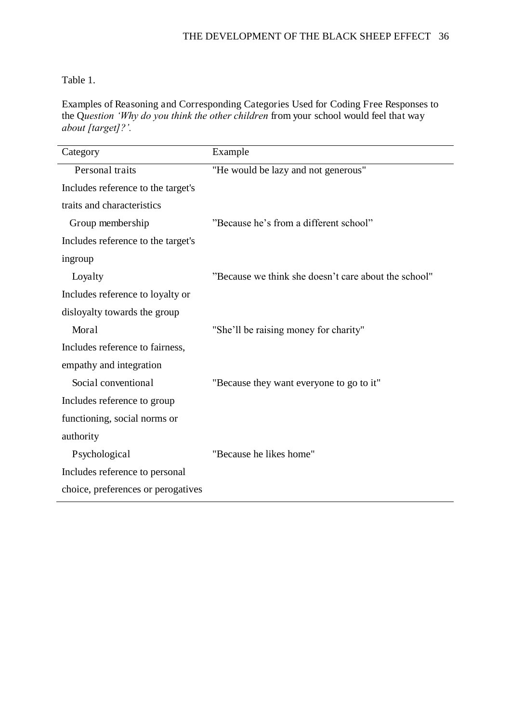#### Table 1.

Examples of Reasoning and Corresponding Categories Used for Coding Free Responses to the Q*uestion 'Why do you think the other children* from your school would feel that way *about [target]?'.*

| Category                           | Example                                              |
|------------------------------------|------------------------------------------------------|
| Personal traits                    | "He would be lazy and not generous"                  |
| Includes reference to the target's |                                                      |
| traits and characteristics         |                                                      |
| Group membership                   | "Because he's from a different school"               |
| Includes reference to the target's |                                                      |
| ingroup                            |                                                      |
| Loyalty                            | "Because we think she doesn't care about the school" |
| Includes reference to loyalty or   |                                                      |
| disloyalty towards the group       |                                                      |
| Moral                              | "She'll be raising money for charity"                |
| Includes reference to fairness,    |                                                      |
| empathy and integration            |                                                      |
| Social conventional                | "Because they want everyone to go to it"             |
| Includes reference to group        |                                                      |
| functioning, social norms or       |                                                      |
| authority                          |                                                      |
| Psychological                      | "Because he likes home"                              |
| Includes reference to personal     |                                                      |
| choice, preferences or perogatives |                                                      |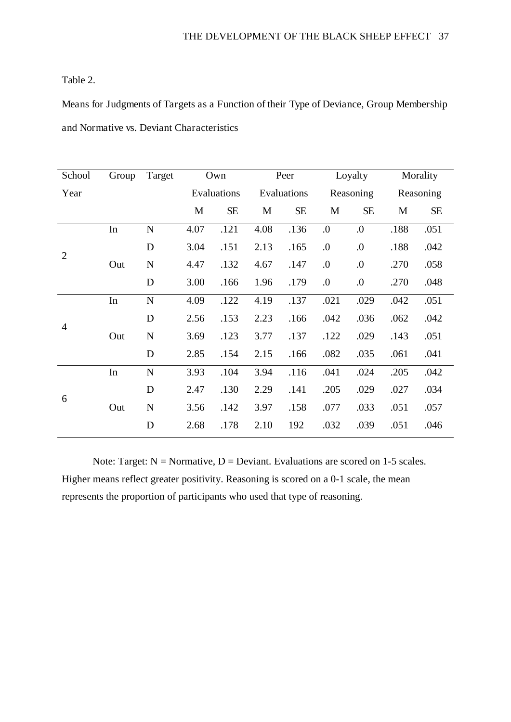#### Table 2.

Means for Judgments of Targets as a Function of their Type of Deviance, Group Membership and Normative vs. Deviant Characteristics

| School         | Group | Target      | Own         |           | Peer        |           | Loyalty          |                  | Morality  |           |
|----------------|-------|-------------|-------------|-----------|-------------|-----------|------------------|------------------|-----------|-----------|
| Year           |       |             | Evaluations |           | Evaluations |           | Reasoning        |                  | Reasoning |           |
|                |       |             | M           | <b>SE</b> | M           | <b>SE</b> | M                | <b>SE</b>        | M         | <b>SE</b> |
| $\overline{2}$ | In    | ${\bf N}$   | 4.07        | .121      | 4.08        | .136      | $\boldsymbol{0}$ | $\boldsymbol{0}$ | .188      | .051      |
|                |       | D           | 3.04        | .151      | 2.13        | .165      | $\boldsymbol{0}$ | $\boldsymbol{0}$ | .188      | .042      |
|                | Out   | $\mathbf N$ | 4.47        | .132      | 4.67        | .147      | 0.               | $\boldsymbol{0}$ | .270      | .058      |
|                |       | D           | 3.00        | .166      | 1.96        | .179      | 0.               | $\boldsymbol{0}$ | .270      | .048      |
| $\overline{4}$ | In    | ${\bf N}$   | 4.09        | .122      | 4.19        | .137      | .021             | .029             | .042      | .051      |
|                |       | D           | 2.56        | .153      | 2.23        | .166      | .042             | .036             | .062      | .042      |
|                | Out   | ${\bf N}$   | 3.69        | .123      | 3.77        | .137      | .122             | .029             | .143      | .051      |
|                |       | D           | 2.85        | .154      | 2.15        | .166      | .082             | .035             | .061      | .041      |
| 6              | In    | ${\bf N}$   | 3.93        | .104      | 3.94        | .116      | .041             | .024             | .205      | .042      |
|                |       | D           | 2.47        | .130      | 2.29        | .141      | .205             | .029             | .027      | .034      |
|                | Out   | ${\bf N}$   | 3.56        | .142      | 3.97        | .158      | .077             | .033             | .051      | .057      |
|                |       | D           | 2.68        | .178      | 2.10        | 192       | .032             | .039             | .051      | .046      |

Note: Target:  $N =$  Normative,  $D =$  Deviant. Evaluations are scored on 1-5 scales. Higher means reflect greater positivity. Reasoning is scored on a 0-1 scale, the mean represents the proportion of participants who used that type of reasoning.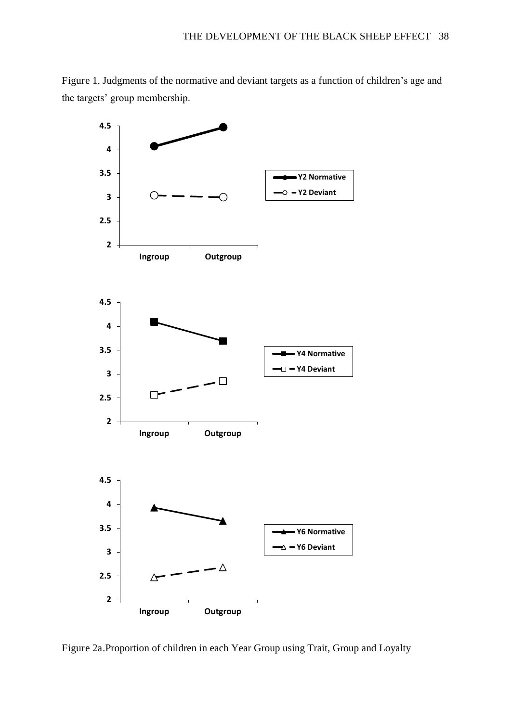Figure 1. Judgments of the normative and deviant targets as a function of children's age and the targets' group membership.



Figure 2a.Proportion of children in each Year Group using Trait, Group and Loyalty